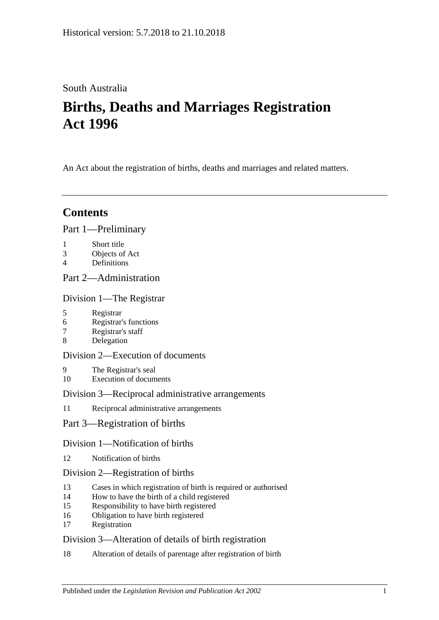# South Australia

# **Births, Deaths and Marriages Registration Act 1996**

An Act about the registration of births, deaths and marriages and related matters.

# **Contents**

# [Part 1—Preliminary](#page-3-0)

- 1 [Short title](#page-3-1)
- 3 [Objects of Act](#page-3-2)
- 4 [Definitions](#page-3-3)

# [Part 2—Administration](#page-5-0)

# [Division 1—The Registrar](#page-5-1)

- 5 [Registrar](#page-5-2)
- 6 [Registrar's functions](#page-5-3)
- 7 [Registrar's staff](#page-5-4)
- 8 [Delegation](#page-6-0)

# [Division 2—Execution of documents](#page-6-1)

- 9 [The Registrar's seal](#page-6-2)
- 10 [Execution of documents](#page-6-3)

# [Division 3—Reciprocal administrative arrangements](#page-6-4)

11 [Reciprocal administrative arrangements](#page-6-5)

# [Part 3—Registration of births](#page-7-0)

# [Division 1—Notification of births](#page-7-1)

12 [Notification of births](#page-7-2)

# [Division 2—Registration of births](#page-8-0)

- 13 [Cases in which registration of birth is required or authorised](#page-8-1)
- 14 [How to have the birth of a child registered](#page-8-2)
- 15 [Responsibility to have birth registered](#page-9-0)
- 16 [Obligation to have birth registered](#page-9-1)
- 17 [Registration](#page-9-2)

# [Division 3—Alteration of details of birth registration](#page-9-3)

18 [Alteration of details of parentage after registration of birth](#page-9-4)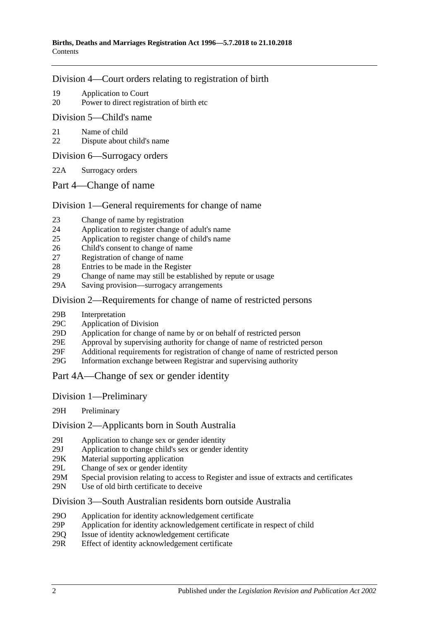#### [Division 4—Court orders relating to registration of birth](#page-10-0)

- 19 [Application to Court](#page-10-1)
- 20 [Power to direct registration of birth etc](#page-10-2)

### [Division 5—Child's name](#page-10-3)

- 21 [Name of child](#page-10-4)
- 22 [Dispute about child's name](#page-11-0)
- [Division 6—Surrogacy orders](#page-11-1)
- 22A [Surrogacy orders](#page-11-2)
- [Part 4—Change of name](#page-12-0)

# [Division 1—General requirements for change of name](#page-12-1)

- 23 [Change of name by registration](#page-12-2)
- 24 [Application to register change of adult's name](#page-12-3)
- 25 [Application to register change of child's name](#page-12-4)
- 26 [Child's consent to change of name](#page-13-0)
- 27 [Registration of change of name](#page-13-1)
- 28 [Entries to be made in the Register](#page-13-2)
- 29 [Change of name may still be established by repute or usage](#page-14-0)
- 29A Saving [provision—surrogacy arrangements](#page-14-1)

# [Division 2—Requirements for change of name of restricted persons](#page-14-2)

- 29B [Interpretation](#page-14-3)
- 29C [Application of Division](#page-15-0)
- 29D [Application for change of name by or on behalf of restricted person](#page-15-1)
- 29E [Approval by supervising authority for change of name of restricted person](#page-15-2)
- 29F [Additional requirements for registration of change of name of restricted](#page-16-0) person
- 29G [Information exchange between Registrar and supervising authority](#page-17-0)
- [Part 4A—Change of sex or gender identity](#page-17-1)
- Division [1—Preliminary](#page-17-2)
- 29H [Preliminary](#page-17-3)

# Division [2—Applicants born in South Australia](#page-17-4)

- 29I [Application to change sex or gender identity](#page-17-5)
- 29J [Application to change child's sex or gender identity](#page-18-0)
- 29K [Material supporting application](#page-18-1)
- 29L [Change of sex or gender identity](#page-19-0)
- 29M [Special provision relating to access to Register and issue of extracts and certificates](#page-19-1)
- 29N [Use of old birth certificate to deceive](#page-19-2)

# Division [3—South Australian residents born outside Australia](#page-20-0)

- 29O [Application for identity acknowledgement certificate](#page-20-1)
- 29P [Application for identity acknowledgement certificate in respect of child](#page-20-2)
- 29Q [Issue of identity acknowledgement certificate](#page-21-0)
- 29R [Effect of identity acknowledgement certificate](#page-21-1)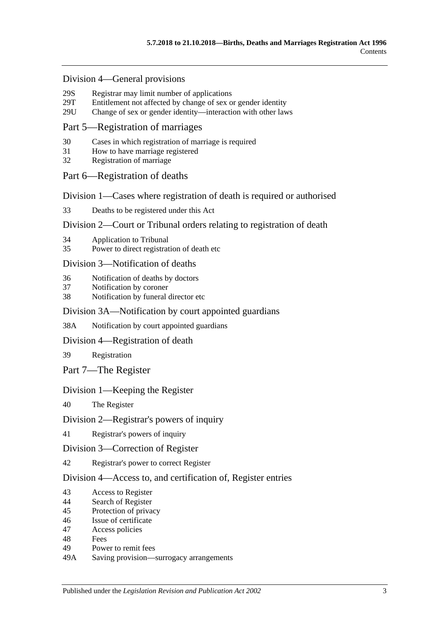#### Division [4—General provisions](#page-21-2)

- 29S [Registrar may limit number of applications](#page-21-3)<br>29T Entitlement not affected by change of sex of
- [Entitlement not affected by change of sex or gender identity](#page-22-0)
- 29U [Change of sex or gender identity—interaction with other laws](#page-22-1)

#### [Part 5—Registration of marriages](#page-22-2)

- 30 [Cases in which registration of marriage is required](#page-22-3)
- 31 [How to have marriage registered](#page-22-4)
- 32 [Registration of marriage](#page-22-5)

#### [Part 6—Registration of deaths](#page-22-6)

[Division 1—Cases where registration of death is required or authorised](#page-22-7)

33 [Deaths to be registered under this Act](#page-22-8)

#### [Division 2—Court or Tribunal orders relating to registration of death](#page-23-0)

- 34 [Application to Tribunal](#page-23-1)
- 35 [Power to direct registration of death etc](#page-23-2)

#### [Division 3—Notification of deaths](#page-23-3)

- 36 [Notification of deaths by doctors](#page-23-4)
- 37 [Notification by coroner](#page-24-0)
- 38 [Notification by funeral director etc](#page-24-1)

#### [Division 3A—Notification by court appointed guardians](#page-25-0)

38A [Notification by court appointed guardians](#page-25-1)

#### [Division 4—Registration of death](#page-26-0)

39 [Registration](#page-26-1)

[Part 7—The Register](#page-26-2)

#### [Division 1—Keeping the Register](#page-26-3)

40 [The Register](#page-26-4)

#### [Division 2—Registrar's powers of inquiry](#page-26-5)

41 [Registrar's powers of inquiry](#page-26-6)

#### [Division 3—Correction of Register](#page-27-0)

42 [Registrar's power to correct Register](#page-27-1)

#### [Division 4—Access to, and certification of, Register entries](#page-27-2)

- 43 [Access to Register](#page-27-3)
- 44 [Search of Register](#page-27-4)
- 45 [Protection of privacy](#page-28-0)
- 46 [Issue of certificate](#page-28-1)
- 47 [Access policies](#page-28-2)
- 48 [Fees](#page-28-3)
- 49 [Power to remit fees](#page-29-0)
- 49A [Saving provision—surrogacy arrangements](#page-29-1)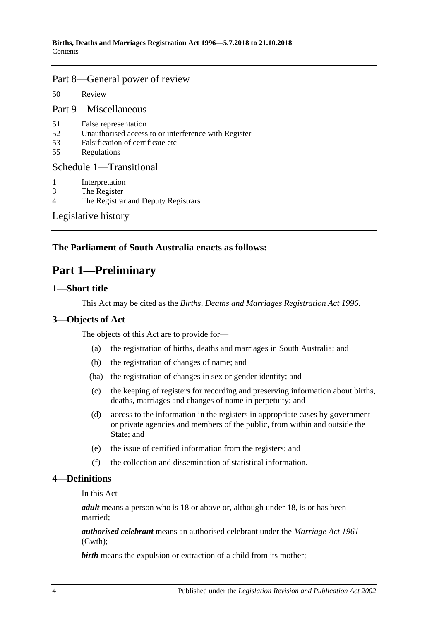### [Part 8—General power of review](#page-29-2)

50 [Review](#page-29-3)

[Part 9—Miscellaneous](#page-29-4)

- 51 [False representation](#page-29-5)
- 52 [Unauthorised access to or interference with Register](#page-29-6)
- 53 [Falsification of certificate etc](#page-29-7)
- 55 [Regulations](#page-30-0)

#### [Schedule 1—Transitional](#page-30-1)

- 1 [Interpretation](#page-30-2)
- 3 [The Register](#page-30-3)
- 4 [The Registrar and Deputy Registrars](#page-30-4)

[Legislative history](#page-31-0)

# <span id="page-3-0"></span>**The Parliament of South Australia enacts as follows:**

# **Part 1—Preliminary**

#### <span id="page-3-1"></span>**1—Short title**

This Act may be cited as the *Births, Deaths and Marriages Registration Act 1996*.

# <span id="page-3-2"></span>**3—Objects of Act**

The objects of this Act are to provide for—

- (a) the registration of births, deaths and marriages in South Australia; and
- (b) the registration of changes of name; and
- (ba) the registration of changes in sex or gender identity; and
- (c) the keeping of registers for recording and preserving information about births, deaths, marriages and changes of name in perpetuity; and
- (d) access to the information in the registers in appropriate cases by government or private agencies and members of the public, from within and outside the State; and
- (e) the issue of certified information from the registers; and
- (f) the collection and dissemination of statistical information.

#### <span id="page-3-3"></span>**4—Definitions**

In this Act—

*adult* means a person who is 18 or above or, although under 18, is or has been married;

*authorised celebrant* means an authorised celebrant under the *Marriage Act 1961* (Cwth);

**birth** means the expulsion or extraction of a child from its mother;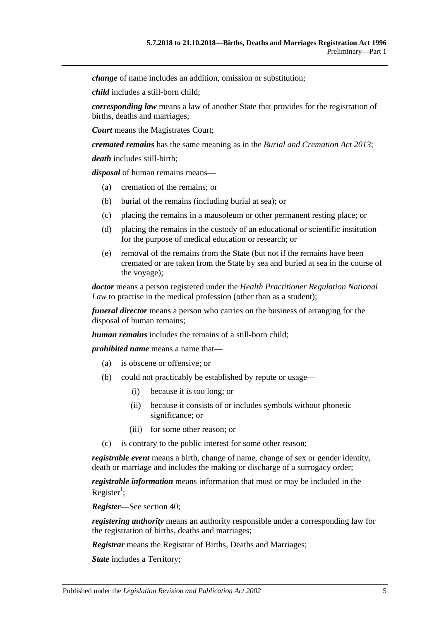*change* of name includes an addition, omission or substitution;

*child* includes a still-born child;

*corresponding law* means a law of another State that provides for the registration of births, deaths and marriages;

*Court* means the Magistrates Court;

*cremated remains* has the same meaning as in the *[Burial and Cremation Act](http://www.legislation.sa.gov.au/index.aspx?action=legref&type=act&legtitle=Burial%20and%20Cremation%20Act%202013) 2013*;

*death* includes still-birth;

*disposal* of human remains means—

- (a) cremation of the remains; or
- (b) burial of the remains (including burial at sea); or
- (c) placing the remains in a mausoleum or other permanent resting place; or
- (d) placing the remains in the custody of an educational or scientific institution for the purpose of medical education or research; or
- (e) removal of the remains from the State (but not if the remains have been cremated or are taken from the State by sea and buried at sea in the course of the voyage);

*doctor* means a person registered under the *Health Practitioner Regulation National Law* to practise in the medical profession (other than as a student);

*funeral director* means a person who carries on the business of arranging for the disposal of human remains;

*human remains* includes the remains of a still-born child;

*prohibited name* means a name that—

- (a) is obscene or offensive; or
- (b) could not practicably be established by repute or usage—
	- (i) because it is too long; or
	- (ii) because it consists of or includes symbols without phonetic significance; or
	- (iii) for some other reason; or
- (c) is contrary to the public interest for some other reason;

*registrable event* means a birth, change of name, change of sex or gender identity, death or marriage and includes the making or discharge of a surrogacy order;

*registrable information* means information that must or may be included in the Register<sup>1</sup>;

*Register*—See [section](#page-26-4) 40;

*registering authority* means an authority responsible under a corresponding law for the registration of births, deaths and marriages;

*Registrar* means the Registrar of Births, Deaths and Marriages;

*State* includes a Territory;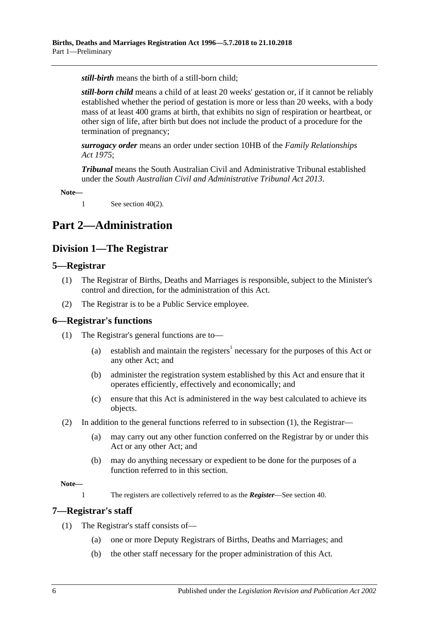*still-birth* means the birth of a still-born child;

*still-born child* means a child of at least 20 weeks' gestation or, if it cannot be reliably established whether the period of gestation is more or less than 20 weeks, with a body mass of at least 400 grams at birth, that exhibits no sign of respiration or heartbeat, or other sign of life, after birth but does not include the product of a procedure for the termination of pregnancy;

*surrogacy order* means an order under section 10HB of the *[Family Relationships](http://www.legislation.sa.gov.au/index.aspx?action=legref&type=act&legtitle=Family%20Relationships%20Act%201975)  Act [1975](http://www.legislation.sa.gov.au/index.aspx?action=legref&type=act&legtitle=Family%20Relationships%20Act%201975)*;

*Tribunal* means the South Australian Civil and Administrative Tribunal established under the *[South Australian Civil and Administrative Tribunal Act](http://www.legislation.sa.gov.au/index.aspx?action=legref&type=act&legtitle=South%20Australian%20Civil%20and%20Administrative%20Tribunal%20Act%202013) 2013*.

**Note—**

1 See [section](#page-26-7) 40(2).

# <span id="page-5-1"></span><span id="page-5-0"></span>**Part 2—Administration**

# **Division 1—The Registrar**

#### <span id="page-5-2"></span>**5—Registrar**

- (1) The Registrar of Births, Deaths and Marriages is responsible, subject to the Minister's control and direction, for the administration of this Act.
- (2) The Registrar is to be a Public Service employee.

#### <span id="page-5-5"></span><span id="page-5-3"></span>**6—Registrar's functions**

- (1) The Registrar's general functions are to—
	- (a) establish and maintain the registers<sup>1</sup> necessary for the purposes of this Act or any other Act; and
	- (b) administer the registration system established by this Act and ensure that it operates efficiently, effectively and economically; and
	- (c) ensure that this Act is administered in the way best calculated to achieve its objects.
- (2) In addition to the general functions referred to in [subsection](#page-5-5) (1), the Registrar—
	- (a) may carry out any other function conferred on the Registrar by or under this Act or any other Act; and
	- (b) may do anything necessary or expedient to be done for the purposes of a function referred to in this section.

#### **Note—**

1 The registers are collectively referred to as the *Register*—See [section](#page-26-4) 40.

#### <span id="page-5-4"></span>**7—Registrar's staff**

- (1) The Registrar's staff consists of—
	- (a) one or more Deputy Registrars of Births, Deaths and Marriages; and
	- (b) the other staff necessary for the proper administration of this Act.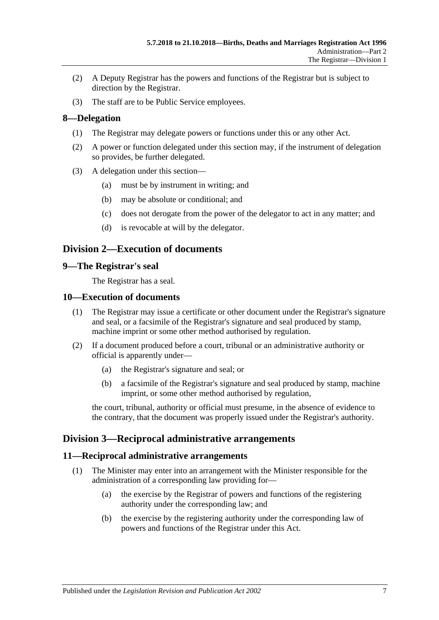- (2) A Deputy Registrar has the powers and functions of the Registrar but is subject to direction by the Registrar.
- (3) The staff are to be Public Service employees.

# <span id="page-6-0"></span>**8—Delegation**

- (1) The Registrar may delegate powers or functions under this or any other Act.
- (2) A power or function delegated under this section may, if the instrument of delegation so provides, be further delegated.
- (3) A delegation under this section—
	- (a) must be by instrument in writing; and
	- (b) may be absolute or conditional; and
	- (c) does not derogate from the power of the delegator to act in any matter; and
	- (d) is revocable at will by the delegator.

# <span id="page-6-1"></span>**Division 2—Execution of documents**

#### <span id="page-6-2"></span>**9—The Registrar's seal**

The Registrar has a seal.

#### <span id="page-6-3"></span>**10—Execution of documents**

- (1) The Registrar may issue a certificate or other document under the Registrar's signature and seal, or a facsimile of the Registrar's signature and seal produced by stamp, machine imprint or some other method authorised by regulation.
- (2) If a document produced before a court, tribunal or an administrative authority or official is apparently under—
	- (a) the Registrar's signature and seal; or
	- (b) a facsimile of the Registrar's signature and seal produced by stamp, machine imprint, or some other method authorised by regulation,

the court, tribunal, authority or official must presume, in the absence of evidence to the contrary, that the document was properly issued under the Registrar's authority.

# <span id="page-6-4"></span>**Division 3—Reciprocal administrative arrangements**

#### <span id="page-6-5"></span>**11—Reciprocal administrative arrangements**

- (1) The Minister may enter into an arrangement with the Minister responsible for the administration of a corresponding law providing for—
	- (a) the exercise by the Registrar of powers and functions of the registering authority under the corresponding law; and
	- (b) the exercise by the registering authority under the corresponding law of powers and functions of the Registrar under this Act.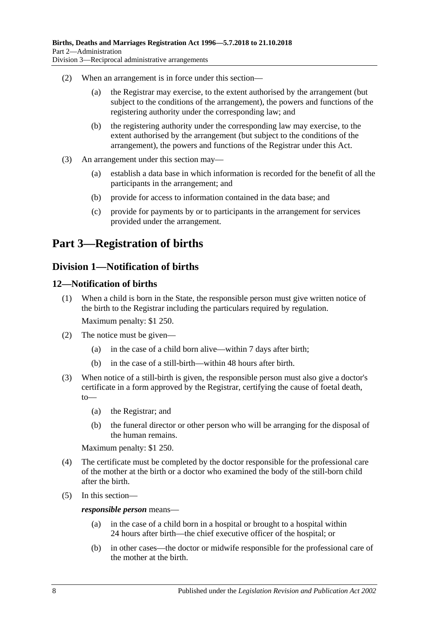- (2) When an arrangement is in force under this section—
	- (a) the Registrar may exercise, to the extent authorised by the arrangement (but subject to the conditions of the arrangement), the powers and functions of the registering authority under the corresponding law; and
	- (b) the registering authority under the corresponding law may exercise, to the extent authorised by the arrangement (but subject to the conditions of the arrangement), the powers and functions of the Registrar under this Act.
- (3) An arrangement under this section may—
	- (a) establish a data base in which information is recorded for the benefit of all the participants in the arrangement; and
	- (b) provide for access to information contained in the data base; and
	- (c) provide for payments by or to participants in the arrangement for services provided under the arrangement.

# <span id="page-7-0"></span>**Part 3—Registration of births**

# <span id="page-7-1"></span>**Division 1—Notification of births**

# <span id="page-7-2"></span>**12—Notification of births**

- (1) When a child is born in the State, the responsible person must give written notice of the birth to the Registrar including the particulars required by regulation. Maximum penalty: \$1 250.
- (2) The notice must be given—
	- (a) in the case of a child born alive—within 7 days after birth;
	- (b) in the case of a still-birth—within 48 hours after birth.
- (3) When notice of a still-birth is given, the responsible person must also give a doctor's certificate in a form approved by the Registrar, certifying the cause of foetal death, to—
	- (a) the Registrar; and
	- (b) the funeral director or other person who will be arranging for the disposal of the human remains.

Maximum penalty: \$1 250.

- (4) The certificate must be completed by the doctor responsible for the professional care of the mother at the birth or a doctor who examined the body of the still-born child after the birth.
- (5) In this section—

#### *responsible person* means—

- (a) in the case of a child born in a hospital or brought to a hospital within 24 hours after birth—the chief executive officer of the hospital; or
- (b) in other cases—the doctor or midwife responsible for the professional care of the mother at the birth.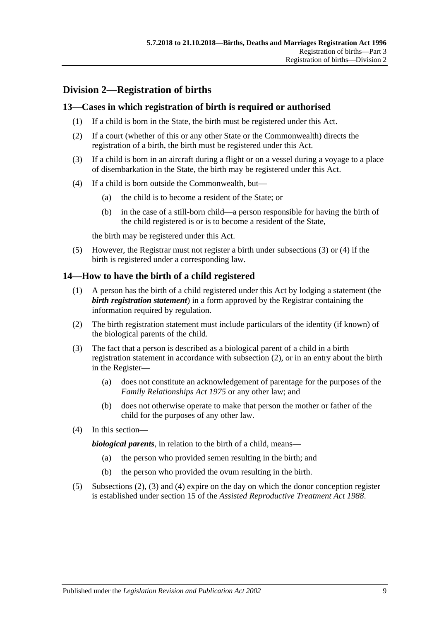# <span id="page-8-0"></span>**Division 2—Registration of births**

# <span id="page-8-1"></span>**13—Cases in which registration of birth is required or authorised**

- (1) If a child is born in the State, the birth must be registered under this Act.
- (2) If a court (whether of this or any other State or the Commonwealth) directs the registration of a birth, the birth must be registered under this Act.
- <span id="page-8-3"></span>(3) If a child is born in an aircraft during a flight or on a vessel during a voyage to a place of disembarkation in the State, the birth may be registered under this Act.
- <span id="page-8-4"></span>(4) If a child is born outside the Commonwealth, but—
	- (a) the child is to become a resident of the State; or
	- (b) in the case of a still-born child—a person responsible for having the birth of the child registered is or is to become a resident of the State,

the birth may be registered under this Act.

(5) However, the Registrar must not register a birth under [subsections](#page-8-3) (3) or [\(4\)](#page-8-4) if the birth is registered under a corresponding law.

# <span id="page-8-2"></span>**14—How to have the birth of a child registered**

- (1) A person has the birth of a child registered under this Act by lodging a statement (the *birth registration statement*) in a form approved by the Registrar containing the information required by regulation.
- <span id="page-8-5"></span>(2) The birth registration statement must include particulars of the identity (if known) of the biological parents of the child.
- <span id="page-8-6"></span>(3) The fact that a person is described as a biological parent of a child in a birth registration statement in accordance with [subsection](#page-8-5) (2), or in an entry about the birth in the Register—
	- (a) does not constitute an acknowledgement of parentage for the purposes of the *[Family Relationships Act](http://www.legislation.sa.gov.au/index.aspx?action=legref&type=act&legtitle=Family%20Relationships%20Act%201975) 1975* or any other law; and
	- (b) does not otherwise operate to make that person the mother or father of the child for the purposes of any other law.
- <span id="page-8-7"></span>(4) In this section—

*biological parents*, in relation to the birth of a child, means—

- (a) the person who provided semen resulting in the birth; and
- (b) the person who provided the ovum resulting in the birth.
- (5) [Subsections](#page-8-5) (2), [\(3\)](#page-8-6) and [\(4\)](#page-8-7) expire on the day on which the donor conception register is established under section 15 of the *[Assisted Reproductive Treatment Act](http://www.legislation.sa.gov.au/index.aspx?action=legref&type=act&legtitle=Assisted%20Reproductive%20Treatment%20Act%201988) 1988*.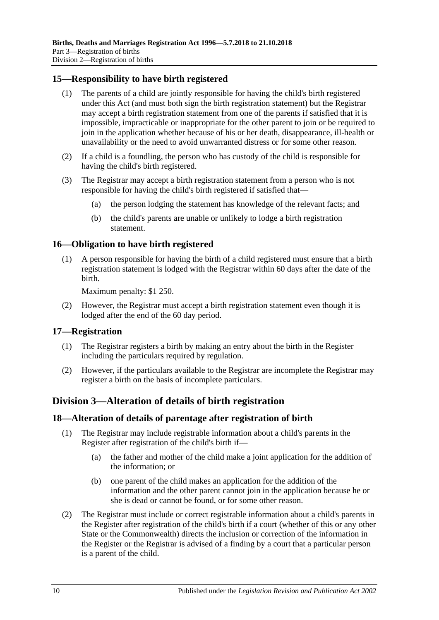# <span id="page-9-0"></span>**15—Responsibility to have birth registered**

- (1) The parents of a child are jointly responsible for having the child's birth registered under this Act (and must both sign the birth registration statement) but the Registrar may accept a birth registration statement from one of the parents if satisfied that it is impossible, impracticable or inappropriate for the other parent to join or be required to join in the application whether because of his or her death, disappearance, ill-health or unavailability or the need to avoid unwarranted distress or for some other reason.
- (2) If a child is a foundling, the person who has custody of the child is responsible for having the child's birth registered.
- (3) The Registrar may accept a birth registration statement from a person who is not responsible for having the child's birth registered if satisfied that—
	- (a) the person lodging the statement has knowledge of the relevant facts; and
	- (b) the child's parents are unable or unlikely to lodge a birth registration statement.

# <span id="page-9-1"></span>**16—Obligation to have birth registered**

(1) A person responsible for having the birth of a child registered must ensure that a birth registration statement is lodged with the Registrar within 60 days after the date of the birth.

Maximum penalty: \$1 250.

(2) However, the Registrar must accept a birth registration statement even though it is lodged after the end of the 60 day period.

#### <span id="page-9-2"></span>**17—Registration**

- (1) The Registrar registers a birth by making an entry about the birth in the Register including the particulars required by regulation.
- (2) However, if the particulars available to the Registrar are incomplete the Registrar may register a birth on the basis of incomplete particulars.

# <span id="page-9-3"></span>**Division 3—Alteration of details of birth registration**

#### <span id="page-9-4"></span>**18—Alteration of details of parentage after registration of birth**

- (1) The Registrar may include registrable information about a child's parents in the Register after registration of the child's birth if—
	- (a) the father and mother of the child make a joint application for the addition of the information; or
	- (b) one parent of the child makes an application for the addition of the information and the other parent cannot join in the application because he or she is dead or cannot be found, or for some other reason.
- (2) The Registrar must include or correct registrable information about a child's parents in the Register after registration of the child's birth if a court (whether of this or any other State or the Commonwealth) directs the inclusion or correction of the information in the Register or the Registrar is advised of a finding by a court that a particular person is a parent of the child.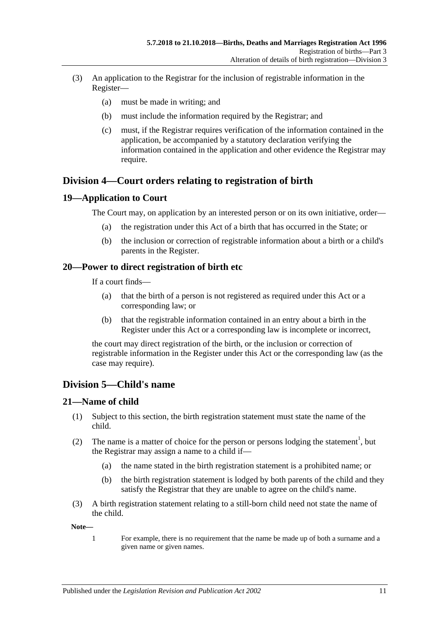- (3) An application to the Registrar for the inclusion of registrable information in the Register—
	- (a) must be made in writing; and
	- (b) must include the information required by the Registrar; and
	- (c) must, if the Registrar requires verification of the information contained in the application, be accompanied by a statutory declaration verifying the information contained in the application and other evidence the Registrar may require.

# <span id="page-10-0"></span>**Division 4—Court orders relating to registration of birth**

#### <span id="page-10-1"></span>**19—Application to Court**

The Court may, on application by an interested person or on its own initiative, order—

- (a) the registration under this Act of a birth that has occurred in the State; or
- (b) the inclusion or correction of registrable information about a birth or a child's parents in the Register.

#### <span id="page-10-2"></span>**20—Power to direct registration of birth etc**

If a court finds—

- (a) that the birth of a person is not registered as required under this Act or a corresponding law; or
- (b) that the registrable information contained in an entry about a birth in the Register under this Act or a corresponding law is incomplete or incorrect,

the court may direct registration of the birth, or the inclusion or correction of registrable information in the Register under this Act or the corresponding law (as the case may require).

# <span id="page-10-3"></span>**Division 5—Child's name**

#### <span id="page-10-4"></span>**21—Name of child**

- (1) Subject to this section, the birth registration statement must state the name of the child.
- (2) The name is a matter of choice for the person or persons lodging the statement<sup>1</sup>, but the Registrar may assign a name to a child if—
	- (a) the name stated in the birth registration statement is a prohibited name; or
	- (b) the birth registration statement is lodged by both parents of the child and they satisfy the Registrar that they are unable to agree on the child's name.
- (3) A birth registration statement relating to a still-born child need not state the name of the child.

**Note—**

1 For example, there is no requirement that the name be made up of both a surname and a given name or given names.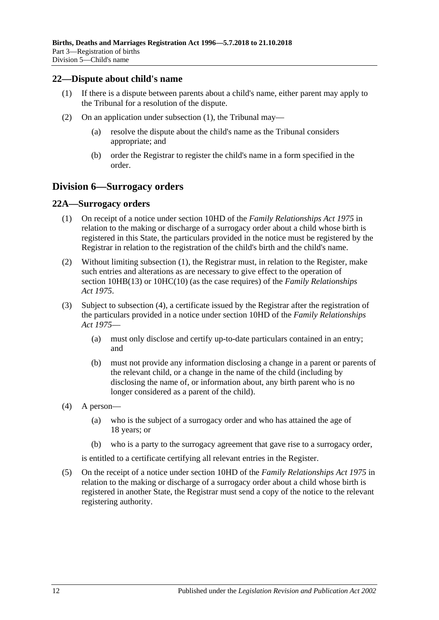#### <span id="page-11-3"></span><span id="page-11-0"></span>**22—Dispute about child's name**

- (1) If there is a dispute between parents about a child's name, either parent may apply to the Tribunal for a resolution of the dispute.
- (2) On an application under [subsection](#page-11-3) (1), the Tribunal may—
	- (a) resolve the dispute about the child's name as the Tribunal considers appropriate; and
	- (b) order the Registrar to register the child's name in a form specified in the order.

# <span id="page-11-1"></span>**Division 6—Surrogacy orders**

#### <span id="page-11-4"></span><span id="page-11-2"></span>**22A—Surrogacy orders**

- (1) On receipt of a notice under section 10HD of the *[Family Relationships Act](http://www.legislation.sa.gov.au/index.aspx?action=legref&type=act&legtitle=Family%20Relationships%20Act%201975) 1975* in relation to the making or discharge of a surrogacy order about a child whose birth is registered in this State, the particulars provided in the notice must be registered by the Registrar in relation to the registration of the child's birth and the child's name.
- (2) Without limiting [subsection](#page-11-4) (1), the Registrar must, in relation to the Register, make such entries and alterations as are necessary to give effect to the operation of section 10HB(13) or 10HC(10) (as the case requires) of the *[Family Relationships](http://www.legislation.sa.gov.au/index.aspx?action=legref&type=act&legtitle=Family%20Relationships%20Act%201975)  Act [1975](http://www.legislation.sa.gov.au/index.aspx?action=legref&type=act&legtitle=Family%20Relationships%20Act%201975)*.
- (3) Subject to [subsection](#page-11-5) (4), a certificate issued by the Registrar after the registration of the particulars provided in a notice under section 10HD of the *[Family Relationships](http://www.legislation.sa.gov.au/index.aspx?action=legref&type=act&legtitle=Family%20Relationships%20Act%201975)  Act [1975](http://www.legislation.sa.gov.au/index.aspx?action=legref&type=act&legtitle=Family%20Relationships%20Act%201975)*—
	- (a) must only disclose and certify up-to-date particulars contained in an entry; and
	- (b) must not provide any information disclosing a change in a parent or parents of the relevant child, or a change in the name of the child (including by disclosing the name of, or information about, any birth parent who is no longer considered as a parent of the child).
- <span id="page-11-5"></span>(4) A person—
	- (a) who is the subject of a surrogacy order and who has attained the age of 18 years; or
	- (b) who is a party to the surrogacy agreement that gave rise to a surrogacy order,

is entitled to a certificate certifying all relevant entries in the Register.

(5) On the receipt of a notice under section 10HD of the *[Family Relationships Act](http://www.legislation.sa.gov.au/index.aspx?action=legref&type=act&legtitle=Family%20Relationships%20Act%201975) 1975* in relation to the making or discharge of a surrogacy order about a child whose birth is registered in another State, the Registrar must send a copy of the notice to the relevant registering authority.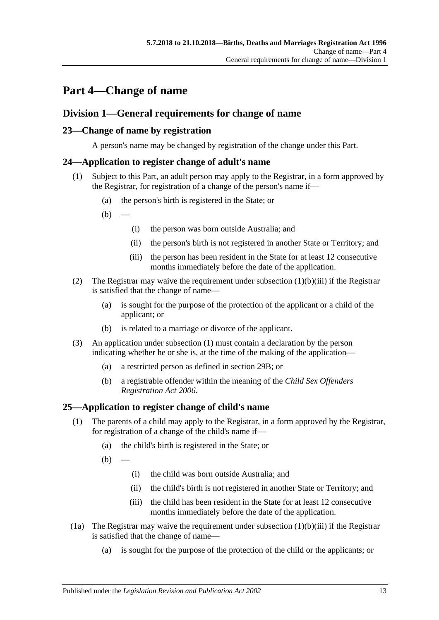# <span id="page-12-0"></span>**Part 4—Change of name**

# <span id="page-12-1"></span>**Division 1—General requirements for change of name**

# <span id="page-12-2"></span>**23—Change of name by registration**

A person's name may be changed by registration of the change under this Part.

# <span id="page-12-6"></span><span id="page-12-3"></span>**24—Application to register change of adult's name**

- (1) Subject to this Part, an adult person may apply to the Registrar, in a form approved by the Registrar, for registration of a change of the person's name if—
	- (a) the person's birth is registered in the State; or
	- $(b)$ 
		- (i) the person was born outside Australia; and
		- (ii) the person's birth is not registered in another State or Territory; and
		- (iii) the person has been resident in the State for at least 12 consecutive months immediately before the date of the application.
- <span id="page-12-5"></span>(2) The Registrar may waive the requirement under [subsection](#page-12-5)  $(1)(b)(iii)$  if the Registrar is satisfied that the change of name—
	- (a) is sought for the purpose of the protection of the applicant or a child of the applicant; or
	- (b) is related to a marriage or divorce of the applicant.
- (3) An application under [subsection](#page-12-6) (1) must contain a declaration by the person indicating whether he or she is, at the time of the making of the application—
	- (a) a restricted person as defined in [section](#page-14-3) 29B; or
	- (b) a registrable offender within the meaning of the *[Child Sex Offenders](http://www.legislation.sa.gov.au/index.aspx?action=legref&type=act&legtitle=Child%20Sex%20Offenders%20Registration%20Act%202006)  [Registration Act](http://www.legislation.sa.gov.au/index.aspx?action=legref&type=act&legtitle=Child%20Sex%20Offenders%20Registration%20Act%202006) 2006*.

# <span id="page-12-4"></span>**25—Application to register change of child's name**

- (1) The parents of a child may apply to the Registrar, in a form approved by the Registrar, for registration of a change of the child's name if—
	- (a) the child's birth is registered in the State; or

 $(b)$ 

- (i) the child was born outside Australia; and
- (ii) the child's birth is not registered in another State or Territory; and
- (iii) the child has been resident in the State for at least 12 consecutive months immediately before the date of the application.
- <span id="page-12-7"></span>(1a) The Registrar may waive the requirement under [subsection](#page-12-7)  $(1)(b)(iii)$  if the Registrar is satisfied that the change of name—
	- (a) is sought for the purpose of the protection of the child or the applicants; or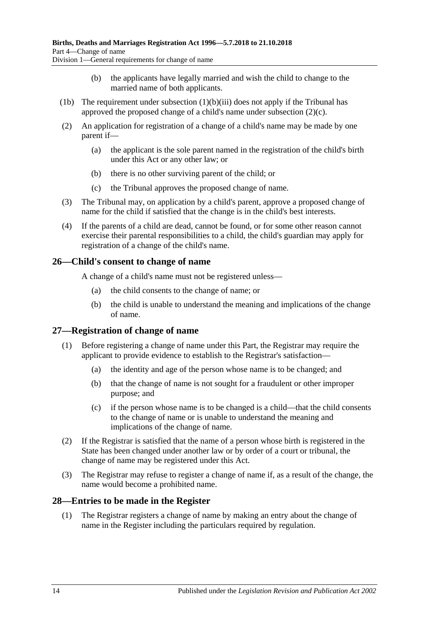- (b) the applicants have legally married and wish the child to change to the married name of both applicants.
- (1b) The requirement under [subsection](#page-12-7)  $(1)(b)(iii)$  does not apply if the Tribunal has approved the proposed change of a child's name under [subsection](#page-13-3) (2)(c).
- (2) An application for registration of a change of a child's name may be made by one parent if—
	- (a) the applicant is the sole parent named in the registration of the child's birth under this Act or any other law; or
	- (b) there is no other surviving parent of the child; or
	- (c) the Tribunal approves the proposed change of name.
- <span id="page-13-3"></span>(3) The Tribunal may, on application by a child's parent, approve a proposed change of name for the child if satisfied that the change is in the child's best interests.
- (4) If the parents of a child are dead, cannot be found, or for some other reason cannot exercise their parental responsibilities to a child, the child's guardian may apply for registration of a change of the child's name.

# <span id="page-13-0"></span>**26—Child's consent to change of name**

A change of a child's name must not be registered unless—

- (a) the child consents to the change of name; or
- (b) the child is unable to understand the meaning and implications of the change of name.

# <span id="page-13-1"></span>**27—Registration of change of name**

- (1) Before registering a change of name under this Part, the Registrar may require the applicant to provide evidence to establish to the Registrar's satisfaction—
	- (a) the identity and age of the person whose name is to be changed; and
	- (b) that the change of name is not sought for a fraudulent or other improper purpose; and
	- (c) if the person whose name is to be changed is a child—that the child consents to the change of name or is unable to understand the meaning and implications of the change of name.
- (2) If the Registrar is satisfied that the name of a person whose birth is registered in the State has been changed under another law or by order of a court or tribunal, the change of name may be registered under this Act.
- (3) The Registrar may refuse to register a change of name if, as a result of the change, the name would become a prohibited name.

# <span id="page-13-2"></span>**28—Entries to be made in the Register**

(1) The Registrar registers a change of name by making an entry about the change of name in the Register including the particulars required by regulation.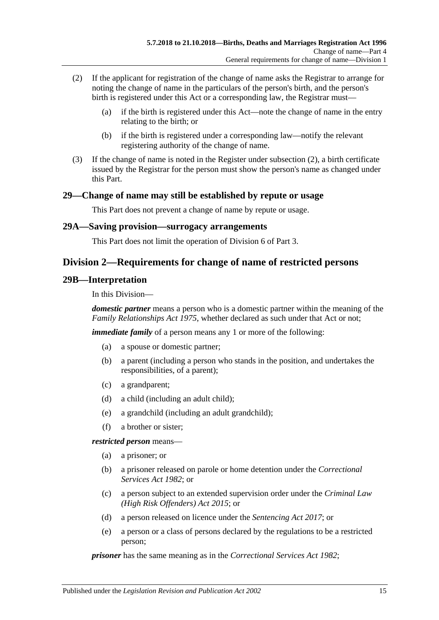- <span id="page-14-4"></span>(2) If the applicant for registration of the change of name asks the Registrar to arrange for noting the change of name in the particulars of the person's birth, and the person's birth is registered under this Act or a corresponding law, the Registrar must—
	- (a) if the birth is registered under this Act—note the change of name in the entry relating to the birth; or
	- (b) if the birth is registered under a corresponding law—notify the relevant registering authority of the change of name.
- (3) If the change of name is noted in the Register under [subsection](#page-14-4) (2), a birth certificate issued by the Registrar for the person must show the person's name as changed under this Part.

#### <span id="page-14-0"></span>**29—Change of name may still be established by repute or usage**

This Part does not prevent a change of name by repute or usage.

#### <span id="page-14-1"></span>**29A—Saving provision—surrogacy arrangements**

This Part does not limit the operation of [Division 6](#page-11-1) of [Part 3.](#page-7-0)

# <span id="page-14-2"></span>**Division 2—Requirements for change of name of restricted persons**

#### <span id="page-14-3"></span>**29B—Interpretation**

In this Division—

*domestic partner* means a person who is a domestic partner within the meaning of the *[Family Relationships Act](http://www.legislation.sa.gov.au/index.aspx?action=legref&type=act&legtitle=Family%20Relationships%20Act%201975) 1975*, whether declared as such under that Act or not;

*immediate family* of a person means any 1 or more of the following:

- (a) a spouse or domestic partner;
- (b) a parent (including a person who stands in the position, and undertakes the responsibilities, of a parent);
- (c) a grandparent;
- (d) a child (including an adult child);
- (e) a grandchild (including an adult grandchild);
- (f) a brother or sister;

#### *restricted person* means—

- (a) a prisoner; or
- (b) a prisoner released on parole or home detention under the *[Correctional](http://www.legislation.sa.gov.au/index.aspx?action=legref&type=act&legtitle=Correctional%20Services%20Act%201982)  [Services Act](http://www.legislation.sa.gov.au/index.aspx?action=legref&type=act&legtitle=Correctional%20Services%20Act%201982) 1982*; or
- (c) a person subject to an extended supervision order under the *[Criminal Law](http://www.legislation.sa.gov.au/index.aspx?action=legref&type=act&legtitle=Criminal%20Law%20(High%20Risk%20Offenders)%20Act%202015)  [\(High Risk Offenders\) Act](http://www.legislation.sa.gov.au/index.aspx?action=legref&type=act&legtitle=Criminal%20Law%20(High%20Risk%20Offenders)%20Act%202015) 2015*; or
- (d) a person released on licence under the *[Sentencing Act](http://www.legislation.sa.gov.au/index.aspx?action=legref&type=act&legtitle=Sentencing%20Act%202017) 2017*; or
- (e) a person or a class of persons declared by the regulations to be a restricted person;

*prisoner* has the same meaning as in the *[Correctional Services Act](http://www.legislation.sa.gov.au/index.aspx?action=legref&type=act&legtitle=Correctional%20Services%20Act%201982) 1982*;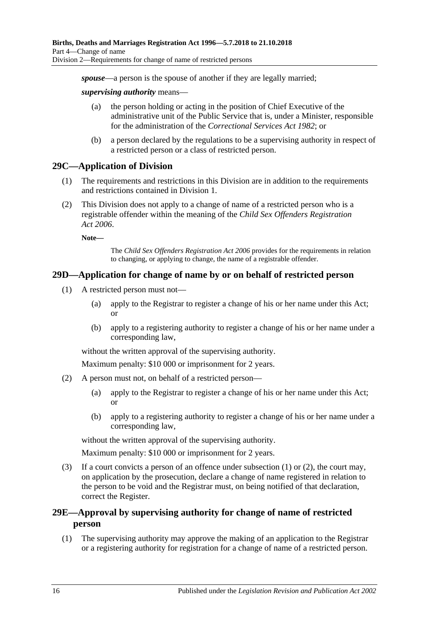*spouse*—a person is the spouse of another if they are legally married;

*supervising authority* means—

- (a) the person holding or acting in the position of Chief Executive of the administrative unit of the Public Service that is, under a Minister, responsible for the administration of the *[Correctional Services Act](http://www.legislation.sa.gov.au/index.aspx?action=legref&type=act&legtitle=Correctional%20Services%20Act%201982) 1982*; or
- (b) a person declared by the regulations to be a supervising authority in respect of a restricted person or a class of restricted person.

#### <span id="page-15-0"></span>**29C—Application of Division**

- (1) The requirements and restrictions in this Division are in addition to the requirements and restrictions contained in [Division 1.](#page-12-1)
- (2) This Division does not apply to a change of name of a restricted person who is a registrable offender within the meaning of the *[Child Sex Offenders Registration](http://www.legislation.sa.gov.au/index.aspx?action=legref&type=act&legtitle=Child%20Sex%20Offenders%20Registration%20Act%202006)  Act [2006](http://www.legislation.sa.gov.au/index.aspx?action=legref&type=act&legtitle=Child%20Sex%20Offenders%20Registration%20Act%202006)*.

**Note—**

The *[Child Sex Offenders Registration Act](http://www.legislation.sa.gov.au/index.aspx?action=legref&type=act&legtitle=Child%20Sex%20Offenders%20Registration%20Act%202006) 2006* provides for the requirements in relation to changing, or applying to change, the name of a registrable offender.

# <span id="page-15-3"></span><span id="page-15-1"></span>**29D—Application for change of name by or on behalf of restricted person**

- (1) A restricted person must not—
	- (a) apply to the Registrar to register a change of his or her name under this Act; or
	- (b) apply to a registering authority to register a change of his or her name under a corresponding law,

without the written approval of the supervising authority.

Maximum penalty: \$10 000 or imprisonment for 2 years.

- <span id="page-15-4"></span>(2) A person must not, on behalf of a restricted person—
	- (a) apply to the Registrar to register a change of his or her name under this Act; or
	- (b) apply to a registering authority to register a change of his or her name under a corresponding law,

without the written approval of the supervising authority.

Maximum penalty: \$10 000 or imprisonment for 2 years.

(3) If a court convicts a person of an offence under [subsection \(1\)](#page-15-3) or [\(2\),](#page-15-4) the court may, on application by the prosecution, declare a change of name registered in relation to the person to be void and the Registrar must, on being notified of that declaration, correct the Register.

# <span id="page-15-2"></span>**29E—Approval by supervising authority for change of name of restricted person**

<span id="page-15-5"></span>(1) The supervising authority may approve the making of an application to the Registrar or a registering authority for registration for a change of name of a restricted person.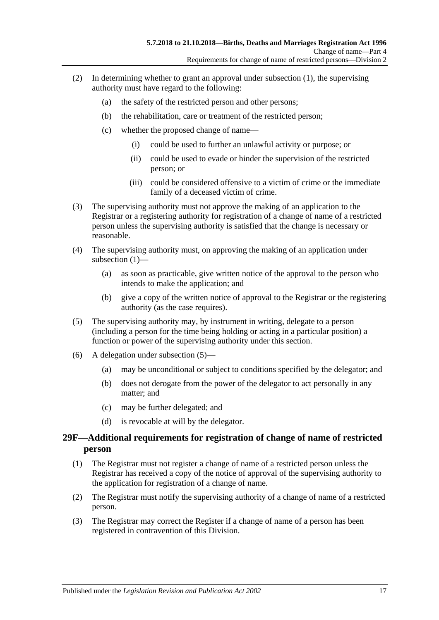- (2) In determining whether to grant an approval under [subsection](#page-15-5) (1), the supervising authority must have regard to the following:
	- (a) the safety of the restricted person and other persons;
	- (b) the rehabilitation, care or treatment of the restricted person;
	- (c) whether the proposed change of name—
		- (i) could be used to further an unlawful activity or purpose; or
		- (ii) could be used to evade or hinder the supervision of the restricted person; or
		- (iii) could be considered offensive to a victim of crime or the immediate family of a deceased victim of crime.
- (3) The supervising authority must not approve the making of an application to the Registrar or a registering authority for registration of a change of name of a restricted person unless the supervising authority is satisfied that the change is necessary or reasonable.
- (4) The supervising authority must, on approving the making of an application under [subsection](#page-15-5) (1)—
	- (a) as soon as practicable, give written notice of the approval to the person who intends to make the application; and
	- (b) give a copy of the written notice of approval to the Registrar or the registering authority (as the case requires).
- <span id="page-16-1"></span>(5) The supervising authority may, by instrument in writing, delegate to a person (including a person for the time being holding or acting in a particular position) a function or power of the supervising authority under this section.
- (6) A delegation under [subsection](#page-16-1) (5)—
	- (a) may be unconditional or subject to conditions specified by the delegator; and
	- (b) does not derogate from the power of the delegator to act personally in any matter; and
	- (c) may be further delegated; and
	- (d) is revocable at will by the delegator.

# <span id="page-16-0"></span>**29F—Additional requirements for registration of change of name of restricted person**

- (1) The Registrar must not register a change of name of a restricted person unless the Registrar has received a copy of the notice of approval of the supervising authority to the application for registration of a change of name.
- (2) The Registrar must notify the supervising authority of a change of name of a restricted person.
- (3) The Registrar may correct the Register if a change of name of a person has been registered in contravention of this Division.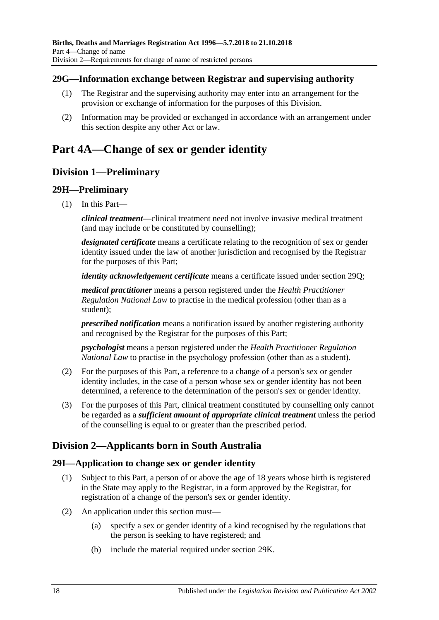# <span id="page-17-0"></span>**29G—Information exchange between Registrar and supervising authority**

- (1) The Registrar and the supervising authority may enter into an arrangement for the provision or exchange of information for the purposes of this Division.
- (2) Information may be provided or exchanged in accordance with an arrangement under this section despite any other Act or law.

# <span id="page-17-1"></span>**Part 4A—Change of sex or gender identity**

# <span id="page-17-2"></span>**Division 1—Preliminary**

# <span id="page-17-3"></span>**29H—Preliminary**

(1) In this Part—

*clinical treatment*—clinical treatment need not involve invasive medical treatment (and may include or be constituted by counselling);

*designated certificate* means a certificate relating to the recognition of sex or gender identity issued under the law of another jurisdiction and recognised by the Registrar for the purposes of this Part;

*identity acknowledgement certificate* means a certificate issued under [section](#page-21-0) 29Q;

*medical practitioner* means a person registered under the *Health Practitioner Regulation National Law* to practise in the medical profession (other than as a student);

*prescribed notification* means a notification issued by another registering authority and recognised by the Registrar for the purposes of this Part;

*psychologist* means a person registered under the *Health Practitioner Regulation National Law* to practise in the psychology profession (other than as a student).

- (2) For the purposes of this Part, a reference to a change of a person's sex or gender identity includes, in the case of a person whose sex or gender identity has not been determined, a reference to the determination of the person's sex or gender identity.
- (3) For the purposes of this Part, clinical treatment constituted by counselling only cannot be regarded as a *sufficient amount of appropriate clinical treatment* unless the period of the counselling is equal to or greater than the prescribed period.

# <span id="page-17-4"></span>**Division 2—Applicants born in South Australia**

# <span id="page-17-5"></span>**29I—Application to change sex or gender identity**

- (1) Subject to this Part, a person of or above the age of 18 years whose birth is registered in the State may apply to the Registrar, in a form approved by the Registrar, for registration of a change of the person's sex or gender identity.
- (2) An application under this section must—
	- (a) specify a sex or gender identity of a kind recognised by the regulations that the person is seeking to have registered; and
	- (b) include the material required under [section](#page-18-1) 29K.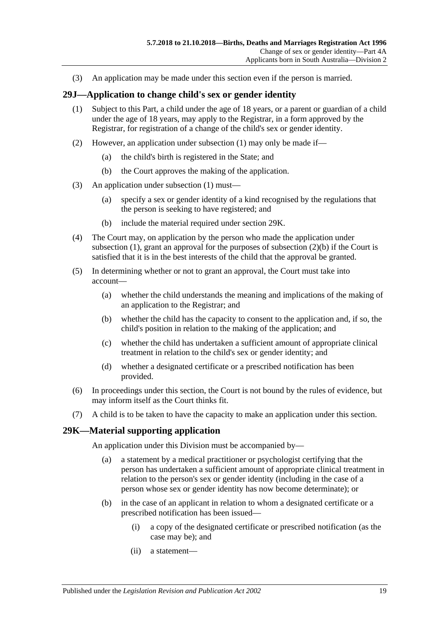(3) An application may be made under this section even if the person is married.

#### <span id="page-18-2"></span><span id="page-18-0"></span>**29J—Application to change child's sex or gender identity**

- (1) Subject to this Part, a child under the age of 18 years, or a parent or guardian of a child under the age of 18 years, may apply to the Registrar, in a form approved by the Registrar, for registration of a change of the child's sex or gender identity.
- (2) However, an application under [subsection](#page-18-2) (1) may only be made if—
	- (a) the child's birth is registered in the State; and
	- (b) the Court approves the making of the application.
- <span id="page-18-3"></span>(3) An application under [subsection](#page-18-2) (1) must—
	- (a) specify a sex or gender identity of a kind recognised by the regulations that the person is seeking to have registered; and
	- (b) include the material required under [section](#page-18-1) 29K.
- (4) The Court may, on application by the person who made the application under [subsection](#page-18-2) (1), grant an approval for the purposes of [subsection](#page-18-3)  $(2)(b)$  if the Court is satisfied that it is in the best interests of the child that the approval be granted.
- (5) In determining whether or not to grant an approval, the Court must take into account—
	- (a) whether the child understands the meaning and implications of the making of an application to the Registrar; and
	- (b) whether the child has the capacity to consent to the application and, if so, the child's position in relation to the making of the application; and
	- (c) whether the child has undertaken a sufficient amount of appropriate clinical treatment in relation to the child's sex or gender identity; and
	- (d) whether a designated certificate or a prescribed notification has been provided.
- (6) In proceedings under this section, the Court is not bound by the rules of evidence, but may inform itself as the Court thinks fit.
- (7) A child is to be taken to have the capacity to make an application under this section.

# <span id="page-18-4"></span><span id="page-18-1"></span>**29K—Material supporting application**

An application under this Division must be accompanied by—

- (a) a statement by a medical practitioner or psychologist certifying that the person has undertaken a sufficient amount of appropriate clinical treatment in relation to the person's sex or gender identity (including in the case of a person whose sex or gender identity has now become determinate); or
- (b) in the case of an applicant in relation to whom a designated certificate or a prescribed notification has been issued—
	- (i) a copy of the designated certificate or prescribed notification (as the case may be); and
	- (ii) a statement—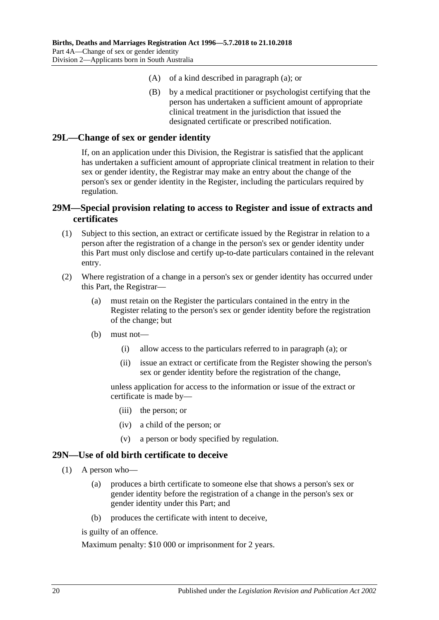- (A) of a kind described in [paragraph](#page-18-4) (a); or
- (B) by a medical practitioner or psychologist certifying that the person has undertaken a sufficient amount of appropriate clinical treatment in the jurisdiction that issued the designated certificate or prescribed notification.

### <span id="page-19-0"></span>**29L—Change of sex or gender identity**

If, on an application under this Division, the Registrar is satisfied that the applicant has undertaken a sufficient amount of appropriate clinical treatment in relation to their sex or gender identity, the Registrar may make an entry about the change of the person's sex or gender identity in the Register, including the particulars required by regulation.

### <span id="page-19-1"></span>**29M—Special provision relating to access to Register and issue of extracts and certificates**

- (1) Subject to this section, an extract or certificate issued by the Registrar in relation to a person after the registration of a change in the person's sex or gender identity under this Part must only disclose and certify up-to-date particulars contained in the relevant entry.
- <span id="page-19-3"></span>(2) Where registration of a change in a person's sex or gender identity has occurred under this Part, the Registrar—
	- (a) must retain on the Register the particulars contained in the entry in the Register relating to the person's sex or gender identity before the registration of the change; but
	- (b) must not—
		- (i) allow access to the particulars referred to in [paragraph](#page-19-3) (a); or
		- (ii) issue an extract or certificate from the Register showing the person's sex or gender identity before the registration of the change,

unless application for access to the information or issue of the extract or certificate is made by—

- (iii) the person; or
- (iv) a child of the person; or
- (v) a person or body specified by regulation.

# <span id="page-19-2"></span>**29N—Use of old birth certificate to deceive**

- (1) A person who—
	- (a) produces a birth certificate to someone else that shows a person's sex or gender identity before the registration of a change in the person's sex or gender identity under this Part; and
	- (b) produces the certificate with intent to deceive,

is guilty of an offence.

Maximum penalty: \$10 000 or imprisonment for 2 years.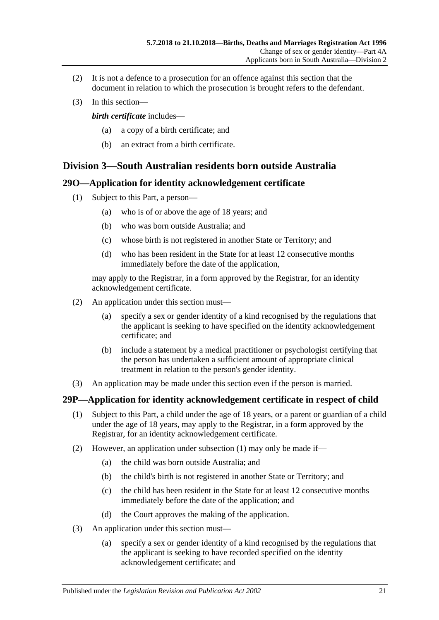- (2) It is not a defence to a prosecution for an offence against this section that the document in relation to which the prosecution is brought refers to the defendant.
- (3) In this section—

*birth certificate* includes—

- (a) a copy of a birth certificate; and
- (b) an extract from a birth certificate.

# <span id="page-20-0"></span>**Division 3—South Australian residents born outside Australia**

#### <span id="page-20-1"></span>**29O—Application for identity acknowledgement certificate**

- (1) Subject to this Part, a person—
	- (a) who is of or above the age of 18 years; and
	- (b) who was born outside Australia; and
	- (c) whose birth is not registered in another State or Territory; and
	- (d) who has been resident in the State for at least 12 consecutive months immediately before the date of the application,

may apply to the Registrar, in a form approved by the Registrar, for an identity acknowledgement certificate.

- (2) An application under this section must—
	- (a) specify a sex or gender identity of a kind recognised by the regulations that the applicant is seeking to have specified on the identity acknowledgement certificate; and
	- (b) include a statement by a medical practitioner or psychologist certifying that the person has undertaken a sufficient amount of appropriate clinical treatment in relation to the person's gender identity.
- (3) An application may be made under this section even if the person is married.

# <span id="page-20-3"></span><span id="page-20-2"></span>**29P—Application for identity acknowledgement certificate in respect of child**

- (1) Subject to this Part, a child under the age of 18 years, or a parent or guardian of a child under the age of 18 years, may apply to the Registrar, in a form approved by the Registrar, for an identity acknowledgement certificate.
- (2) However, an application under [subsection](#page-20-3) (1) may only be made if—
	- (a) the child was born outside Australia; and
	- (b) the child's birth is not registered in another State or Territory; and
	- (c) the child has been resident in the State for at least 12 consecutive months immediately before the date of the application; and
	- (d) the Court approves the making of the application.
- <span id="page-20-4"></span>(3) An application under this section must—
	- (a) specify a sex or gender identity of a kind recognised by the regulations that the applicant is seeking to have recorded specified on the identity acknowledgement certificate; and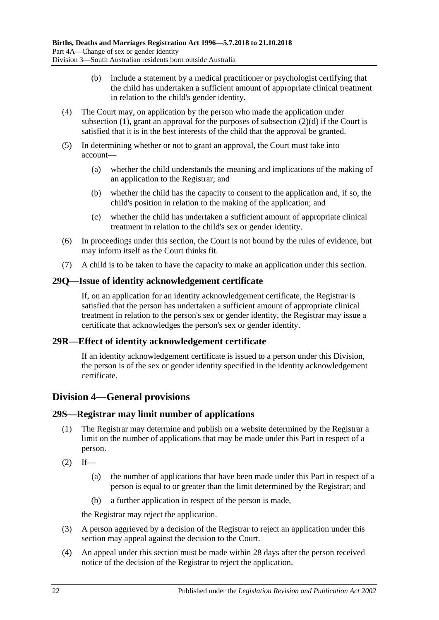- (b) include a statement by a medical practitioner or psychologist certifying that the child has undertaken a sufficient amount of appropriate clinical treatment in relation to the child's gender identity.
- (4) The Court may, on application by the person who made the application under [subsection](#page-18-2) (1), grant an approval for the purposes of [subsection](#page-20-4)  $(2)(d)$  if the Court is satisfied that it is in the best interests of the child that the approval be granted.
- (5) In determining whether or not to grant an approval, the Court must take into account—
	- (a) whether the child understands the meaning and implications of the making of an application to the Registrar; and
	- (b) whether the child has the capacity to consent to the application and, if so, the child's position in relation to the making of the application; and
	- (c) whether the child has undertaken a sufficient amount of appropriate clinical treatment in relation to the child's sex or gender identity.
- (6) In proceedings under this section, the Court is not bound by the rules of evidence, but may inform itself as the Court thinks fit.
- (7) A child is to be taken to have the capacity to make an application under this section.

# <span id="page-21-0"></span>**29Q—Issue of identity acknowledgement certificate**

If, on an application for an identity acknowledgement certificate, the Registrar is satisfied that the person has undertaken a sufficient amount of appropriate clinical treatment in relation to the person's sex or gender identity, the Registrar may issue a certificate that acknowledges the person's sex or gender identity.

# <span id="page-21-1"></span>**29R—Effect of identity acknowledgement certificate**

If an identity acknowledgement certificate is issued to a person under this Division, the person is of the sex or gender identity specified in the identity acknowledgement certificate.

# <span id="page-21-2"></span>**Division 4—General provisions**

# <span id="page-21-3"></span>**29S—Registrar may limit number of applications**

- (1) The Registrar may determine and publish on a website determined by the Registrar a limit on the number of applications that may be made under this Part in respect of a person.
- $(2)$  If—
	- (a) the number of applications that have been made under this Part in respect of a person is equal to or greater than the limit determined by the Registrar; and
	- (b) a further application in respect of the person is made,

the Registrar may reject the application.

- (3) A person aggrieved by a decision of the Registrar to reject an application under this section may appeal against the decision to the Court.
- (4) An appeal under this section must be made within 28 days after the person received notice of the decision of the Registrar to reject the application.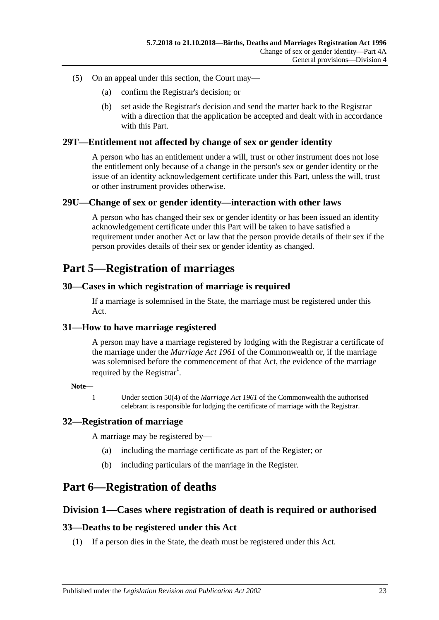- (5) On an appeal under this section, the Court may—
	- (a) confirm the Registrar's decision; or
	- (b) set aside the Registrar's decision and send the matter back to the Registrar with a direction that the application be accepted and dealt with in accordance with this Part.

#### <span id="page-22-0"></span>**29T—Entitlement not affected by change of sex or gender identity**

A person who has an entitlement under a will, trust or other instrument does not lose the entitlement only because of a change in the person's sex or gender identity or the issue of an identity acknowledgement certificate under this Part, unless the will, trust or other instrument provides otherwise.

#### <span id="page-22-1"></span>**29U—Change of sex or gender identity—interaction with other laws**

A person who has changed their sex or gender identity or has been issued an identity acknowledgement certificate under this Part will be taken to have satisfied a requirement under another Act or law that the person provide details of their sex if the person provides details of their sex or gender identity as changed.

# <span id="page-22-2"></span>**Part 5—Registration of marriages**

# <span id="page-22-3"></span>**30—Cases in which registration of marriage is required**

If a marriage is solemnised in the State, the marriage must be registered under this Act.

#### <span id="page-22-4"></span>**31—How to have marriage registered**

A person may have a marriage registered by lodging with the Registrar a certificate of the marriage under the *Marriage Act 1961* of the Commonwealth or, if the marriage was solemnised before the commencement of that Act, the evidence of the marriage required by the Registrar<sup>1</sup>.

**Note—**

1 Under section 50(4) of the *Marriage Act 1961* of the Commonwealth the authorised celebrant is responsible for lodging the certificate of marriage with the Registrar.

#### <span id="page-22-5"></span>**32—Registration of marriage**

A marriage may be registered by—

- (a) including the marriage certificate as part of the Register; or
- (b) including particulars of the marriage in the Register.

# <span id="page-22-7"></span><span id="page-22-6"></span>**Part 6—Registration of deaths**

# **Division 1—Cases where registration of death is required or authorised**

#### <span id="page-22-8"></span>**33—Deaths to be registered under this Act**

(1) If a person dies in the State, the death must be registered under this Act.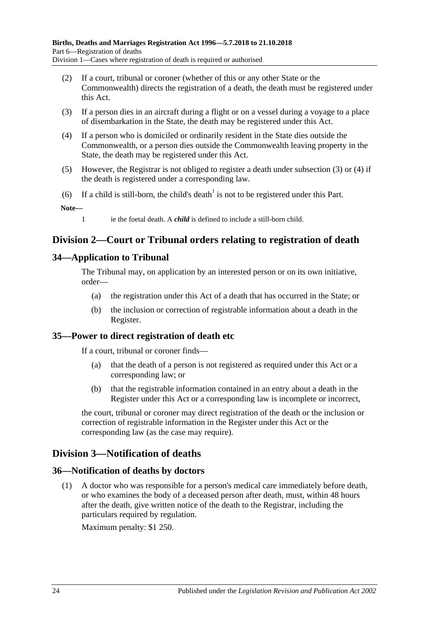- (2) If a court, tribunal or coroner (whether of this or any other State or the Commonwealth) directs the registration of a death, the death must be registered under this Act.
- <span id="page-23-5"></span>(3) If a person dies in an aircraft during a flight or on a vessel during a voyage to a place of disembarkation in the State, the death may be registered under this Act.
- <span id="page-23-6"></span>(4) If a person who is domiciled or ordinarily resident in the State dies outside the Commonwealth, or a person dies outside the Commonwealth leaving property in the State, the death may be registered under this Act.
- (5) However, the Registrar is not obliged to register a death under [subsection](#page-23-5) (3) or [\(4\)](#page-23-6) if the death is registered under a corresponding law.
- (6) If a child is still-born, the child's death<sup>1</sup> is not to be registered under this Part.

#### **Note—**

1 ie the foetal death. A *child* is defined to include a still-born child.

# <span id="page-23-0"></span>**Division 2—Court or Tribunal orders relating to registration of death**

# <span id="page-23-1"></span>**34—Application to Tribunal**

The Tribunal may, on application by an interested person or on its own initiative, order—

- (a) the registration under this Act of a death that has occurred in the State; or
- (b) the inclusion or correction of registrable information about a death in the Register.

# <span id="page-23-2"></span>**35—Power to direct registration of death etc**

If a court, tribunal or coroner finds—

- (a) that the death of a person is not registered as required under this Act or a corresponding law; or
- (b) that the registrable information contained in an entry about a death in the Register under this Act or a corresponding law is incomplete or incorrect,

the court, tribunal or coroner may direct registration of the death or the inclusion or correction of registrable information in the Register under this Act or the corresponding law (as the case may require).

# <span id="page-23-3"></span>**Division 3—Notification of deaths**

# <span id="page-23-4"></span>**36—Notification of deaths by doctors**

(1) A doctor who was responsible for a person's medical care immediately before death, or who examines the body of a deceased person after death, must, within 48 hours after the death, give written notice of the death to the Registrar, including the particulars required by regulation.

Maximum penalty: \$1 250.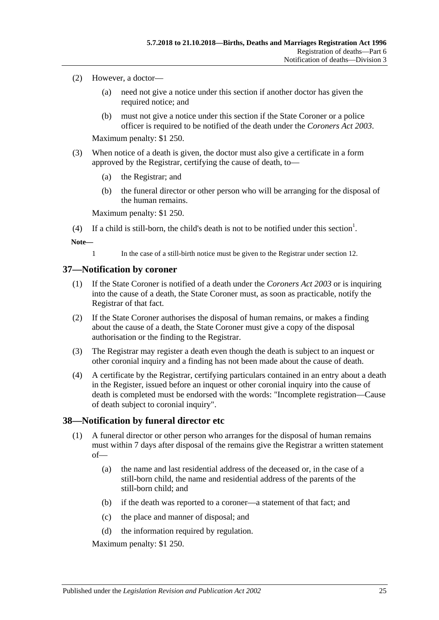- (2) However, a doctor—
	- (a) need not give a notice under this section if another doctor has given the required notice; and
	- (b) must not give a notice under this section if the State Coroner or a police officer is required to be notified of the death under the *[Coroners Act](http://www.legislation.sa.gov.au/index.aspx?action=legref&type=act&legtitle=Coroners%20Act%202003) 2003*.

Maximum penalty: \$1 250.

- (3) When notice of a death is given, the doctor must also give a certificate in a form approved by the Registrar, certifying the cause of death, to—
	- (a) the Registrar; and
	- (b) the funeral director or other person who will be arranging for the disposal of the human remains.

Maximum penalty: \$1 250.

(4) If a child is still-born, the child's death is not to be notified under this section<sup>1</sup>.

#### **Note—**

1 In the case of a still-birth notice must be given to the Registrar under [section](#page-7-2) 12.

#### <span id="page-24-0"></span>**37—Notification by coroner**

- (1) If the State Coroner is notified of a death under the *[Coroners Act](http://www.legislation.sa.gov.au/index.aspx?action=legref&type=act&legtitle=Coroners%20Act%202003) 2003* or is inquiring into the cause of a death, the State Coroner must, as soon as practicable, notify the Registrar of that fact.
- (2) If the State Coroner authorises the disposal of human remains, or makes a finding about the cause of a death, the State Coroner must give a copy of the disposal authorisation or the finding to the Registrar.
- (3) The Registrar may register a death even though the death is subject to an inquest or other coronial inquiry and a finding has not been made about the cause of death.
- (4) A certificate by the Registrar, certifying particulars contained in an entry about a death in the Register, issued before an inquest or other coronial inquiry into the cause of death is completed must be endorsed with the words: "Incomplete registration—Cause of death subject to coronial inquiry".

# <span id="page-24-1"></span>**38—Notification by funeral director etc**

- (1) A funeral director or other person who arranges for the disposal of human remains must within 7 days after disposal of the remains give the Registrar a written statement of—
	- (a) the name and last residential address of the deceased or, in the case of a still-born child, the name and residential address of the parents of the still-born child; and
	- (b) if the death was reported to a coroner—a statement of that fact; and
	- (c) the place and manner of disposal; and
	- (d) the information required by regulation.

Maximum penalty: \$1 250.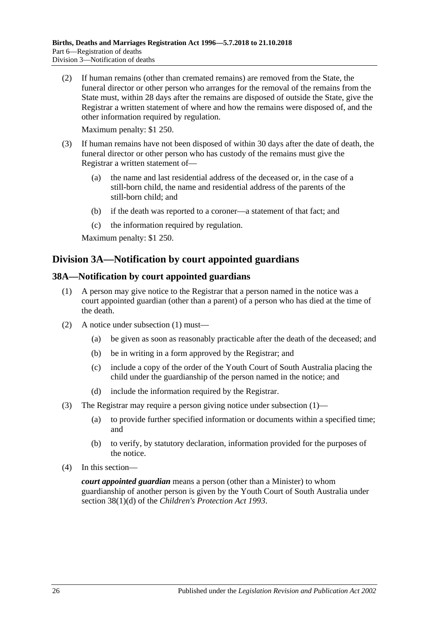(2) If human remains (other than cremated remains) are removed from the State, the funeral director or other person who arranges for the removal of the remains from the State must, within 28 days after the remains are disposed of outside the State, give the Registrar a written statement of where and how the remains were disposed of, and the other information required by regulation.

Maximum penalty: \$1 250.

- (3) If human remains have not been disposed of within 30 days after the date of death, the funeral director or other person who has custody of the remains must give the Registrar a written statement of—
	- (a) the name and last residential address of the deceased or, in the case of a still-born child, the name and residential address of the parents of the still-born child; and
	- (b) if the death was reported to a coroner—a statement of that fact; and
	- (c) the information required by regulation.

Maximum penalty: \$1 250.

# <span id="page-25-0"></span>**Division 3A—Notification by court appointed guardians**

#### <span id="page-25-2"></span><span id="page-25-1"></span>**38A—Notification by court appointed guardians**

- (1) A person may give notice to the Registrar that a person named in the notice was a court appointed guardian (other than a parent) of a person who has died at the time of the death.
- (2) A notice under [subsection](#page-25-2) (1) must—
	- (a) be given as soon as reasonably practicable after the death of the deceased; and
	- (b) be in writing in a form approved by the Registrar; and
	- (c) include a copy of the order of the Youth Court of South Australia placing the child under the guardianship of the person named in the notice; and
	- (d) include the information required by the Registrar.
- (3) The Registrar may require a person giving notice under [subsection](#page-25-2) (1)—
	- (a) to provide further specified information or documents within a specified time; and
	- (b) to verify, by statutory declaration, information provided for the purposes of the notice.
- (4) In this section—

*court appointed guardian* means a person (other than a Minister) to whom guardianship of another person is given by the Youth Court of South Australia under section 38(1)(d) of the *[Children's Protection Act](http://www.legislation.sa.gov.au/index.aspx?action=legref&type=act&legtitle=Childrens%20Protection%20Act%201993) 1993*.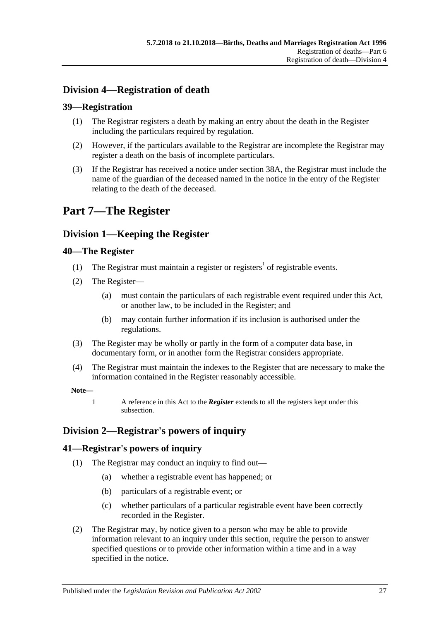# <span id="page-26-0"></span>**Division 4—Registration of death**

# <span id="page-26-1"></span>**39—Registration**

- (1) The Registrar registers a death by making an entry about the death in the Register including the particulars required by regulation.
- (2) However, if the particulars available to the Registrar are incomplete the Registrar may register a death on the basis of incomplete particulars.
- (3) If the Registrar has received a notice under [section](#page-25-1) 38A, the Registrar must include the name of the guardian of the deceased named in the notice in the entry of the Register relating to the death of the deceased.

# <span id="page-26-2"></span>**Part 7—The Register**

# <span id="page-26-3"></span>**Division 1—Keeping the Register**

# <span id="page-26-4"></span>**40—The Register**

- (1) The Registrar must maintain a register or registers<sup>1</sup> of registrable events.
- <span id="page-26-7"></span>(2) The Register—
	- (a) must contain the particulars of each registrable event required under this Act, or another law, to be included in the Register; and
	- (b) may contain further information if its inclusion is authorised under the regulations.
- (3) The Register may be wholly or partly in the form of a computer data base, in documentary form, or in another form the Registrar considers appropriate.
- (4) The Registrar must maintain the indexes to the Register that are necessary to make the information contained in the Register reasonably accessible.

#### **Note—**

1 A reference in this Act to the *Register* extends to all the registers kept under this subsection.

# <span id="page-26-5"></span>**Division 2—Registrar's powers of inquiry**

# <span id="page-26-6"></span>**41—Registrar's powers of inquiry**

- (1) The Registrar may conduct an inquiry to find out—
	- (a) whether a registrable event has happened; or
	- (b) particulars of a registrable event; or
	- (c) whether particulars of a particular registrable event have been correctly recorded in the Register.
- <span id="page-26-8"></span>(2) The Registrar may, by notice given to a person who may be able to provide information relevant to an inquiry under this section, require the person to answer specified questions or to provide other information within a time and in a way specified in the notice.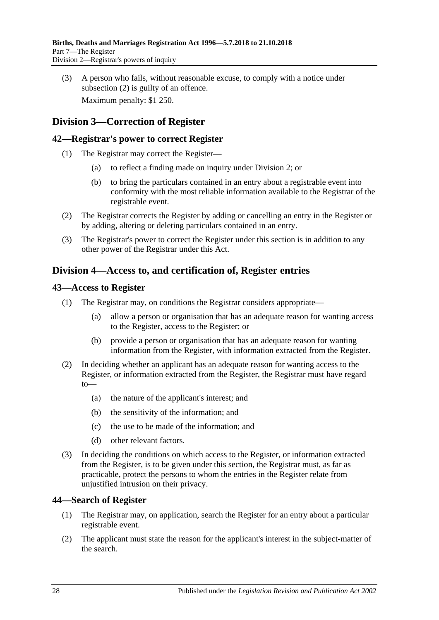(3) A person who fails, without reasonable excuse, to comply with a notice under [subsection](#page-26-8) (2) is guilty of an offence. Maximum penalty: \$1 250.

<span id="page-27-0"></span>**Division 3—Correction of Register**

# <span id="page-27-1"></span>**42—Registrar's power to correct Register**

- (1) The Registrar may correct the Register—
	- (a) to reflect a finding made on inquiry under [Division 2;](#page-26-5) or
	- (b) to bring the particulars contained in an entry about a registrable event into conformity with the most reliable information available to the Registrar of the registrable event.
- (2) The Registrar corrects the Register by adding or cancelling an entry in the Register or by adding, altering or deleting particulars contained in an entry.
- (3) The Registrar's power to correct the Register under this section is in addition to any other power of the Registrar under this Act.

# <span id="page-27-2"></span>**Division 4—Access to, and certification of, Register entries**

# <span id="page-27-3"></span>**43—Access to Register**

- (1) The Registrar may, on conditions the Registrar considers appropriate—
	- (a) allow a person or organisation that has an adequate reason for wanting access to the Register, access to the Register; or
	- (b) provide a person or organisation that has an adequate reason for wanting information from the Register, with information extracted from the Register.
- (2) In deciding whether an applicant has an adequate reason for wanting access to the Register, or information extracted from the Register, the Registrar must have regard to—
	- (a) the nature of the applicant's interest; and
	- (b) the sensitivity of the information; and
	- (c) the use to be made of the information; and
	- (d) other relevant factors.
- (3) In deciding the conditions on which access to the Register, or information extracted from the Register, is to be given under this section, the Registrar must, as far as practicable, protect the persons to whom the entries in the Register relate from unjustified intrusion on their privacy.

# <span id="page-27-4"></span>**44—Search of Register**

- (1) The Registrar may, on application, search the Register for an entry about a particular registrable event.
- (2) The applicant must state the reason for the applicant's interest in the subject-matter of the search.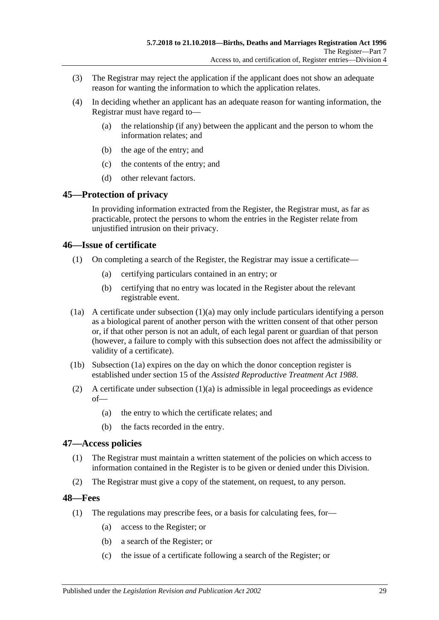- (3) The Registrar may reject the application if the applicant does not show an adequate reason for wanting the information to which the application relates.
- (4) In deciding whether an applicant has an adequate reason for wanting information, the Registrar must have regard to—
	- (a) the relationship (if any) between the applicant and the person to whom the information relates; and
	- (b) the age of the entry; and
	- (c) the contents of the entry; and
	- (d) other relevant factors.

# <span id="page-28-0"></span>**45—Protection of privacy**

In providing information extracted from the Register, the Registrar must, as far as practicable, protect the persons to whom the entries in the Register relate from unjustified intrusion on their privacy.

# <span id="page-28-1"></span>**46—Issue of certificate**

- <span id="page-28-4"></span>(1) On completing a search of the Register, the Registrar may issue a certificate—
	- (a) certifying particulars contained in an entry; or
	- (b) certifying that no entry was located in the Register about the relevant registrable event.
- <span id="page-28-5"></span>(1a) A certificate under [subsection](#page-28-4) (1)(a) may only include particulars identifying a person as a biological parent of another person with the written consent of that other person or, if that other person is not an adult, of each legal parent or guardian of that person (however, a failure to comply with this subsection does not affect the admissibility or validity of a certificate).
- (1b) [Subsection](#page-28-5) (1a) expires on the day on which the donor conception register is established under section 15 of the *[Assisted Reproductive Treatment Act](http://www.legislation.sa.gov.au/index.aspx?action=legref&type=act&legtitle=Assisted%20Reproductive%20Treatment%20Act%201988) 1988*.
- (2) A certificate under [subsection](#page-28-4)  $(1)(a)$  is admissible in legal proceedings as evidence of—
	- (a) the entry to which the certificate relates; and
	- (b) the facts recorded in the entry.

# <span id="page-28-2"></span>**47—Access policies**

- (1) The Registrar must maintain a written statement of the policies on which access to information contained in the Register is to be given or denied under this Division.
- (2) The Registrar must give a copy of the statement, on request, to any person.

# <span id="page-28-3"></span>**48—Fees**

- (1) The regulations may prescribe fees, or a basis for calculating fees, for—
	- (a) access to the Register; or
	- (b) a search of the Register; or
	- (c) the issue of a certificate following a search of the Register; or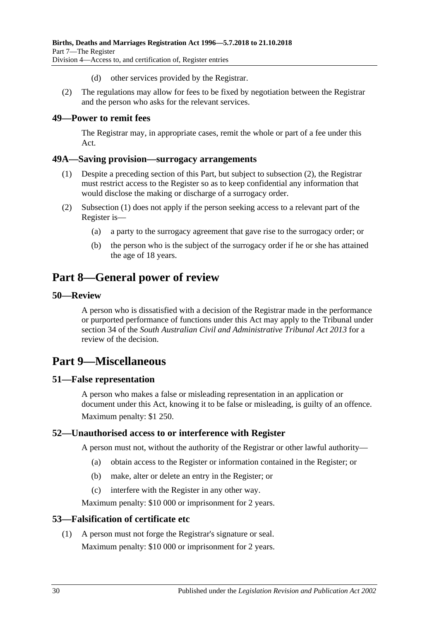- (d) other services provided by the Registrar.
- (2) The regulations may allow for fees to be fixed by negotiation between the Registrar and the person who asks for the relevant services.

#### <span id="page-29-0"></span>**49—Power to remit fees**

The Registrar may, in appropriate cases, remit the whole or part of a fee under this Act.

#### <span id="page-29-9"></span><span id="page-29-1"></span>**49A—Saving provision—surrogacy arrangements**

- (1) Despite a preceding section of this Part, but subject to [subsection](#page-29-8) (2), the Registrar must restrict access to the Register so as to keep confidential any information that would disclose the making or discharge of a surrogacy order.
- <span id="page-29-8"></span>(2) [Subsection](#page-29-9) (1) does not apply if the person seeking access to a relevant part of the Register is—
	- (a) a party to the surrogacy agreement that gave rise to the surrogacy order; or
	- (b) the person who is the subject of the surrogacy order if he or she has attained the age of 18 years.

# <span id="page-29-2"></span>**Part 8—General power of review**

#### <span id="page-29-3"></span>**50—Review**

A person who is dissatisfied with a decision of the Registrar made in the performance or purported performance of functions under this Act may apply to the Tribunal under section 34 of the *[South Australian Civil and Administrative Tribunal Act](http://www.legislation.sa.gov.au/index.aspx?action=legref&type=act&legtitle=South%20Australian%20Civil%20and%20Administrative%20Tribunal%20Act%202013) 2013* for a review of the decision.

# <span id="page-29-4"></span>**Part 9—Miscellaneous**

#### <span id="page-29-5"></span>**51—False representation**

A person who makes a false or misleading representation in an application or document under this Act, knowing it to be false or misleading, is guilty of an offence. Maximum penalty: \$1 250.

#### <span id="page-29-6"></span>**52—Unauthorised access to or interference with Register**

A person must not, without the authority of the Registrar or other lawful authority—

- (a) obtain access to the Register or information contained in the Register; or
- (b) make, alter or delete an entry in the Register; or
- (c) interfere with the Register in any other way.

Maximum penalty: \$10 000 or imprisonment for 2 years.

#### <span id="page-29-7"></span>**53—Falsification of certificate etc**

(1) A person must not forge the Registrar's signature or seal. Maximum penalty: \$10 000 or imprisonment for 2 years.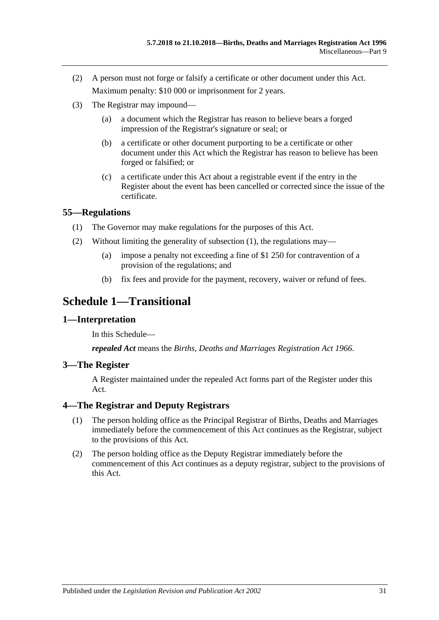- (2) A person must not forge or falsify a certificate or other document under this Act. Maximum penalty: \$10 000 or imprisonment for 2 years.
- (3) The Registrar may impound—
	- (a) a document which the Registrar has reason to believe bears a forged impression of the Registrar's signature or seal; or
	- (b) a certificate or other document purporting to be a certificate or other document under this Act which the Registrar has reason to believe has been forged or falsified; or
	- (c) a certificate under this Act about a registrable event if the entry in the Register about the event has been cancelled or corrected since the issue of the certificate.

# <span id="page-30-5"></span><span id="page-30-0"></span>**55—Regulations**

- (1) The Governor may make regulations for the purposes of this Act.
- (2) Without limiting the generality of [subsection](#page-30-5) (1), the regulations may—
	- (a) impose a penalty not exceeding a fine of \$1 250 for contravention of a provision of the regulations; and
	- (b) fix fees and provide for the payment, recovery, waiver or refund of fees.

# <span id="page-30-1"></span>**Schedule 1—Transitional**

# <span id="page-30-2"></span>**1—Interpretation**

In this Schedule—

*repealed Act* means the *[Births, Deaths and Marriages Registration Act](http://www.legislation.sa.gov.au/index.aspx?action=legref&type=act&legtitle=Births%20Deaths%20and%20Marriages%20Registration%20Act%201966) 1966*.

# <span id="page-30-3"></span>**3—The Register**

A Register maintained under the repealed Act forms part of the Register under this Act.

# <span id="page-30-4"></span>**4—The Registrar and Deputy Registrars**

- (1) The person holding office as the Principal Registrar of Births, Deaths and Marriages immediately before the commencement of this Act continues as the Registrar, subject to the provisions of this Act.
- (2) The person holding office as the Deputy Registrar immediately before the commencement of this Act continues as a deputy registrar, subject to the provisions of this Act.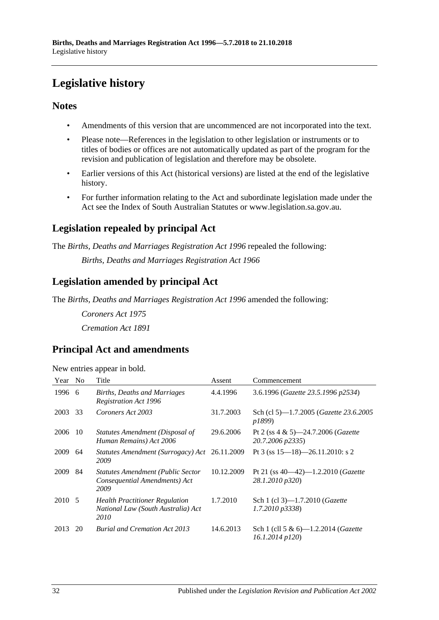# <span id="page-31-0"></span>**Legislative history**

# **Notes**

- Amendments of this version that are uncommenced are not incorporated into the text.
- Please note—References in the legislation to other legislation or instruments or to titles of bodies or offices are not automatically updated as part of the program for the revision and publication of legislation and therefore may be obsolete.
- Earlier versions of this Act (historical versions) are listed at the end of the legislative history.
- For further information relating to the Act and subordinate legislation made under the Act see the Index of South Australian Statutes or www.legislation.sa.gov.au.

# **Legislation repealed by principal Act**

The *Births, Deaths and Marriages Registration Act 1996* repealed the following:

*Births, Deaths and Marriages Registration Act 1966*

# **Legislation amended by principal Act**

The *Births, Deaths and Marriages Registration Act 1996* amended the following:

*Coroners Act 1975 Cremation Act 1891*

# **Principal Act and amendments**

| New entries appear in bold. |  |  |  |  |  |
|-----------------------------|--|--|--|--|--|
|-----------------------------|--|--|--|--|--|

| Year   | N <sub>o</sub> | Title                                                                               | Assent     | Commencement                                                       |
|--------|----------------|-------------------------------------------------------------------------------------|------------|--------------------------------------------------------------------|
| 1996   | -6             | Births, Deaths and Marriages<br><b>Registration Act 1996</b>                        | 4.4.1996   | 3.6.1996 (Gazette 23.5.1996 p2534)                                 |
| 2003   | 33             | Coroners Act 2003                                                                   | 31.7.2003  | Sch (cl 5)—1.7.2005 ( <i>Gazette 23.6.2005</i><br>p1899)           |
| 2006   | -10            | Statutes Amendment (Disposal of<br>Human Remains) Act 2006                          | 29.6.2006  | Pt 2 (ss $4 \& 5$ )—24.7.2006 ( <i>Gazette</i><br>20.7.2006 p2335) |
| 2009   | 64             | Statutes Amendment (Surrogacy) Act<br>2009                                          | 26.11.2009 | Pt 3 (ss $15 - 18$ ) - 26.11.2010: s 2                             |
| 2009   | 84             | <b>Statutes Amendment (Public Sector</b><br>Consequential Amendments) Act<br>2009   | 10.12.2009 | Pt 21 (ss $40-42$ )-1.2.2010 ( <i>Gazette</i><br>28.1.2010 p320)   |
| 2010 5 |                | <b>Health Practitioner Regulation</b><br>National Law (South Australia) Act<br>2010 | 1.7.2010   | Sch 1 (cl 3)-1.7.2010 ( <i>Gazette</i><br>$1.7.2010 \text{ p}3338$ |
| 2013   | 20             | <b>Burial and Cremation Act 2013</b>                                                | 14.6.2013  | Sch 1 (cll 5 & 6)-1.2.2014 ( <i>Gazette</i><br>16.1.2014 p120)     |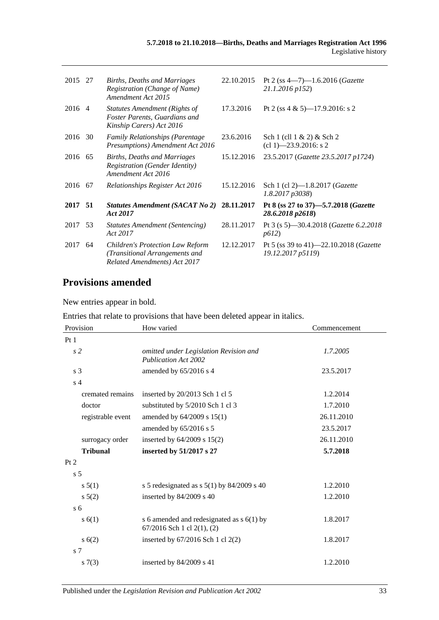| 2015 27 |    | Births, Deaths and Marriages<br>Registration (Change of Name)<br>Amendment Act 2015                       | 22.10.2015 | Pt 2 (ss $4-7$ )-1.6.2016 ( <i>Gazette</i><br>21.1.2016 p152)       |
|---------|----|-----------------------------------------------------------------------------------------------------------|------------|---------------------------------------------------------------------|
| 2016 4  |    | Statutes Amendment (Rights of<br>Foster Parents, Guardians and<br>Kinship Carers) Act 2016                | 17.3.2016  | Pt 2 (ss 4 & 5)—17.9.2016: s 2                                      |
| 2016    | 30 | <b>Family Relationships (Parentage</b><br>Presumptions) Amendment Act 2016                                | 23.6.2016  | Sch $1$ (cll $1 \& 2$ ) & Sch $2$<br>$cl$ 1) -23.9.2016: s 2        |
| 2016 65 |    | Births, Deaths and Marriages<br><b>Registration (Gender Identity)</b><br>Amendment Act 2016               | 15.12.2016 | 23.5.2017 (Gazette 23.5.2017 p1724)                                 |
| 2016    | 67 | Relationships Register Act 2016                                                                           | 15.12.2016 | Sch 1 (cl 2)-1.8.2017 (Gazette<br>1.8.2017 p3038)                   |
| 2017 51 |    | Statutes Amendment (SACAT No 2) 28.11.2017<br>Act 2017                                                    |            | Pt 8 (ss 27 to 37)–5.7.2018 ( <i>Gazette</i><br>28.6.2018 p2618)    |
| 2017    | 53 | <b>Statutes Amendment (Sentencing)</b><br>Act 2017                                                        | 28.11.2017 | Pt 3 (s 5)—30.4.2018 ( <i>Gazette 6.2.2018</i><br>p612)             |
| 2017    | 64 | <b>Children's Protection Law Reform</b><br>(Transitional Arrangements and<br>Related Amendments) Act 2017 | 12.12.2017 | Pt 5 (ss 39 to 41)–22.10.2018 ( <i>Gazette</i><br>19.12.2017 p5119) |
|         |    |                                                                                                           |            |                                                                     |

# **Provisions amended**

New entries appear in bold.

Entries that relate to provisions that have been deleted appear in italics.

| Provision         | How varied                                                                | Commencement |
|-------------------|---------------------------------------------------------------------------|--------------|
| Pt1               |                                                                           |              |
| s <sub>2</sub>    | omitted under Legislation Revision and<br><b>Publication Act 2002</b>     | 1.7.2005     |
| s <sub>3</sub>    | amended by 65/2016 s 4                                                    | 23.5.2017    |
| s <sub>4</sub>    |                                                                           |              |
| cremated remains  | inserted by 20/2013 Sch 1 cl 5                                            | 1.2.2014     |
| doctor            | substituted by 5/2010 Sch 1 cl 3                                          | 1.7.2010     |
| registrable event | amended by 64/2009 s 15(1)                                                | 26.11.2010   |
|                   | amended by 65/2016 s 5                                                    | 23.5.2017    |
| surrogacy order   | inserted by $64/2009$ s $15(2)$                                           | 26.11.2010   |
| <b>Tribunal</b>   | inserted by 51/2017 s 27                                                  | 5.7.2018     |
| Pt 2              |                                                                           |              |
| s <sub>5</sub>    |                                                                           |              |
| s 5(1)            | s 5 redesignated as s $5(1)$ by 84/2009 s 40                              | 1.2.2010     |
| $s\,5(2)$         | inserted by 84/2009 s 40                                                  | 1.2.2010     |
| $\overline{s}$ 6  |                                                                           |              |
| s(6(1))           | s 6 amended and redesignated as $s$ 6(1) by<br>67/2016 Sch 1 cl 2(1), (2) | 1.8.2017     |
| s(6(2))           | inserted by 67/2016 Sch 1 cl 2(2)                                         | 1.8.2017     |
| s <sub>7</sub>    |                                                                           |              |
| s(7(3))           | inserted by 84/2009 s 41                                                  | 1.2.2010     |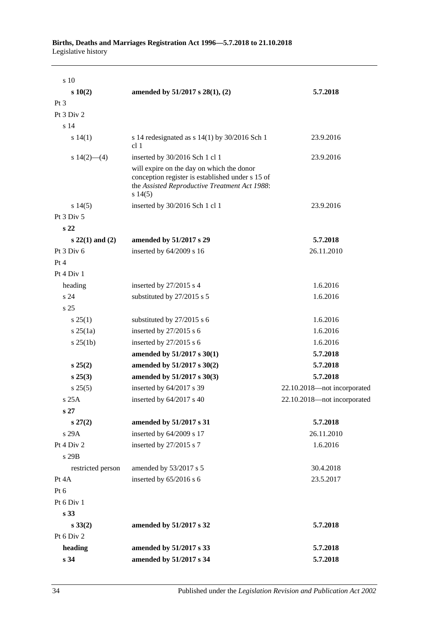| s 10                |                                                                                                                                                          |                             |
|---------------------|----------------------------------------------------------------------------------------------------------------------------------------------------------|-----------------------------|
| s 10(2)             | amended by $51/2017$ s $28(1)$ , (2)                                                                                                                     | 5.7.2018                    |
| $Pt\,3$             |                                                                                                                                                          |                             |
| Pt $3$ Div $2$      |                                                                                                                                                          |                             |
| s <sub>14</sub>     |                                                                                                                                                          |                             |
| s 14(1)             | s 14 redesignated as $s$ 14(1) by 30/2016 Sch 1<br>cl 1                                                                                                  | 23.9.2016                   |
| s $14(2)$ — $(4)$   | inserted by 30/2016 Sch 1 cl 1                                                                                                                           | 23.9.2016                   |
|                     | will expire on the day on which the donor<br>conception register is established under s 15 of<br>the Assisted Reproductive Treatment Act 1988:<br>s14(5) |                             |
| s 14(5)             | inserted by 30/2016 Sch 1 cl 1                                                                                                                           | 23.9.2016                   |
| Pt 3 Div 5          |                                                                                                                                                          |                             |
| s <sub>22</sub>     |                                                                                                                                                          |                             |
| $s 22(1)$ and $(2)$ | amended by 51/2017 s 29                                                                                                                                  | 5.7.2018                    |
| Pt 3 Div 6          | inserted by 64/2009 s 16                                                                                                                                 | 26.11.2010                  |
| Pt 4                |                                                                                                                                                          |                             |
| Pt 4 Div 1          |                                                                                                                                                          |                             |
| heading             | inserted by 27/2015 s 4                                                                                                                                  | 1.6.2016                    |
| s 24                | substituted by 27/2015 s 5                                                                                                                               | 1.6.2016                    |
| s <sub>25</sub>     |                                                                                                                                                          |                             |
| $s \, 25(1)$        | substituted by 27/2015 s 6                                                                                                                               | 1.6.2016                    |
| $s \, 25(1a)$       | inserted by $27/2015$ s 6                                                                                                                                | 1.6.2016                    |
| $s \, 25(1b)$       | inserted by $27/2015$ s 6                                                                                                                                | 1.6.2016                    |
|                     | amended by 51/2017 s 30(1)                                                                                                                               | 5.7.2018                    |
| $s\,25(2)$          | amended by 51/2017 s 30(2)                                                                                                                               | 5.7.2018                    |
| s 25(3)             | amended by 51/2017 s 30(3)                                                                                                                               | 5.7.2018                    |
| s 25(5)             | inserted by 64/2017 s 39                                                                                                                                 | 22.10.2018-not incorporated |
| s 25A               | inserted by $64/2017$ s 40                                                                                                                               | 22.10.2018-not incorporated |
| s <sub>27</sub>     |                                                                                                                                                          |                             |
| $s\,27(2)$          | amended by 51/2017 s 31                                                                                                                                  | 5.7.2018                    |
| s 29A               | inserted by 64/2009 s 17                                                                                                                                 | 26.11.2010                  |
| Pt 4 Div 2          | inserted by 27/2015 s 7                                                                                                                                  | 1.6.2016                    |
| s 29B               |                                                                                                                                                          |                             |
| restricted person   | amended by 53/2017 s 5                                                                                                                                   | 30.4.2018                   |
| Pt 4A               | inserted by 65/2016 s 6                                                                                                                                  | 23.5.2017                   |
| Pt $6$              |                                                                                                                                                          |                             |
| Pt 6 Div 1          |                                                                                                                                                          |                             |
| s <sub>33</sub>     |                                                                                                                                                          |                             |
| $s\,33(2)$          | amended by 51/2017 s 32                                                                                                                                  | 5.7.2018                    |
| Pt 6 Div 2          |                                                                                                                                                          |                             |
| heading             | amended by 51/2017 s 33                                                                                                                                  | 5.7.2018                    |
| s 34                | amended by 51/2017 s 34                                                                                                                                  | 5.7.2018                    |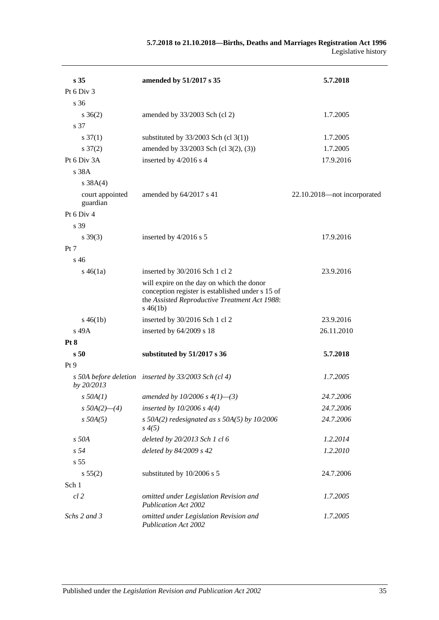| s <sub>35</sub>             | amended by 51/2017 s 35                                                                                                                                       | 5.7.2018                    |
|-----------------------------|---------------------------------------------------------------------------------------------------------------------------------------------------------------|-----------------------------|
| Pt 6 Div 3                  |                                                                                                                                                               |                             |
| s 36                        |                                                                                                                                                               |                             |
| $s \; 36(2)$                | amended by 33/2003 Sch (cl 2)                                                                                                                                 | 1.7.2005                    |
| s 37                        |                                                                                                                                                               |                             |
| $s \frac{37(1)}{2}$         | substituted by $33/2003$ Sch (cl 3(1))                                                                                                                        | 1.7.2005                    |
| $s \frac{37(2)}{2}$         | amended by 33/2003 Sch (cl 3(2), (3))                                                                                                                         | 1.7.2005                    |
| Pt 6 Div 3A                 | inserted by 4/2016 s 4                                                                                                                                        | 17.9.2016                   |
| s 38A                       |                                                                                                                                                               |                             |
| s 38A(4)                    |                                                                                                                                                               |                             |
| court appointed<br>guardian | amended by 64/2017 s 41                                                                                                                                       | 22.10.2018-not incorporated |
| Pt 6 Div 4                  |                                                                                                                                                               |                             |
| s 39                        |                                                                                                                                                               |                             |
| $s \, 39(3)$                | inserted by $4/2016$ s 5                                                                                                                                      | 17.9.2016                   |
| Pt 7                        |                                                                                                                                                               |                             |
| $s\,46$                     |                                                                                                                                                               |                             |
| $s\,46(1a)$                 | inserted by 30/2016 Sch 1 cl 2                                                                                                                                | 23.9.2016                   |
|                             | will expire on the day on which the donor<br>conception register is established under s 15 of<br>the Assisted Reproductive Treatment Act 1988:<br>$s\,46(1b)$ |                             |
| $s\,46(1b)$                 | inserted by 30/2016 Sch 1 cl 2                                                                                                                                | 23.9.2016                   |
| s 49A                       | inserted by 64/2009 s 18                                                                                                                                      | 26.11.2010                  |
| Pt 8                        |                                                                                                                                                               |                             |
| s <sub>50</sub>             | substituted by 51/2017 s 36                                                                                                                                   | 5.7.2018                    |
| Pt <sub>9</sub>             |                                                                                                                                                               |                             |
| by 20/2013                  | s 50A before deletion inserted by 33/2003 Sch (cl 4)                                                                                                          | 1.7.2005                    |
| $s$ 50A $(1)$               | amended by 10/2006 s $4(1)$ —(3)                                                                                                                              | 24.7.2006                   |
| $s$ 50A(2)–(4)              | inserted by $10/2006 s 4(4)$                                                                                                                                  | 24.7.2006                   |
| $s$ 50A(5)                  | s $50A(2)$ redesignated as s $50A(5)$ by $10/2006$<br>$s\,4(5)$                                                                                               | 24.7.2006                   |
| s 50A                       | deleted by 20/2013 Sch 1 cl 6                                                                                                                                 | 1.2.2014                    |
| s <sub>54</sub>             | deleted by 84/2009 s 42                                                                                                                                       | 1.2.2010                    |
| s <sub>55</sub>             |                                                                                                                                                               |                             |
| s 55(2)                     | substituted by 10/2006 s 5                                                                                                                                    | 24.7.2006                   |
| Sch 1                       |                                                                                                                                                               |                             |
| $cl$ 2                      | omitted under Legislation Revision and<br><b>Publication Act 2002</b>                                                                                         | 1.7.2005                    |
| Schs 2 and 3                | omitted under Legislation Revision and<br><b>Publication Act 2002</b>                                                                                         | 1.7.2005                    |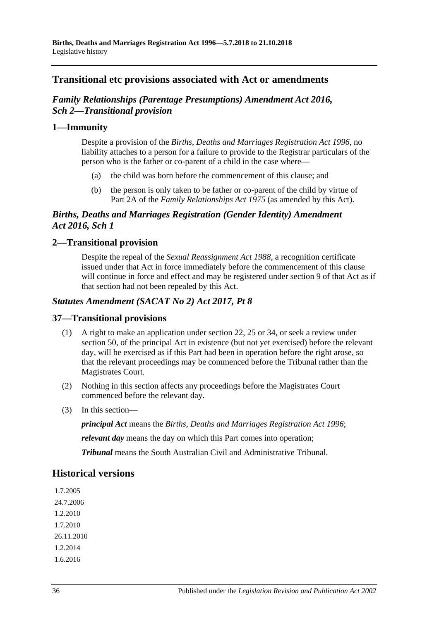# **Transitional etc provisions associated with Act or amendments**

# *Family Relationships (Parentage Presumptions) Amendment Act 2016, Sch 2—Transitional provision*

# **1—Immunity**

Despite a provision of the *[Births, Deaths and Marriages Registration Act](http://www.legislation.sa.gov.au/index.aspx?action=legref&type=act&legtitle=Births%20Deaths%20and%20Marriages%20Registration%20Act%201996) 1996*, no liability attaches to a person for a failure to provide to the Registrar particulars of the person who is the father or co-parent of a child in the case where—

- (a) the child was born before the commencement of this clause; and
- (b) the person is only taken to be father or co-parent of the child by virtue of Part 2A of the *[Family Relationships Act](http://www.legislation.sa.gov.au/index.aspx?action=legref&type=act&legtitle=Family%20Relationships%20Act%201975) 1975* (as amended by this Act).

# *Births, Deaths and Marriages Registration (Gender Identity) Amendment Act 2016, Sch 1*

#### **2—Transitional provision**

Despite the repeal of the *[Sexual Reassignment Act](http://www.legislation.sa.gov.au/index.aspx?action=legref&type=act&legtitle=Sexual%20Reassignment%20Act%201988) 1988*, a recognition certificate issued under that Act in force immediately before the commencement of this clause will continue in force and effect and may be registered under section 9 of that Act as if that section had not been repealed by this Act.

#### *Statutes Amendment (SACAT No 2) Act 2017, Pt 8*

#### **37—Transitional provisions**

- (1) A right to make an application under section 22, 25 or 34, or seek a review under section 50, of the principal Act in existence (but not yet exercised) before the relevant day, will be exercised as if this Part had been in operation before the right arose, so that the relevant proceedings may be commenced before the Tribunal rather than the Magistrates Court.
- (2) Nothing in this section affects any proceedings before the Magistrates Court commenced before the relevant day.
- (3) In this section—

*principal Act* means the *[Births, Deaths and Marriages Registration Act](http://www.legislation.sa.gov.au/index.aspx?action=legref&type=act&legtitle=Births%20Deaths%20and%20Marriages%20Registration%20Act%201996) 1996*;

*relevant day* means the day on which this Part comes into operation;

*Tribunal* means the South Australian Civil and Administrative Tribunal.

# **Historical versions**

1.7.2005 24.7.2006 1.2.2010 1.7.2010 26.11.2010 1.2.2014 1.6.2016